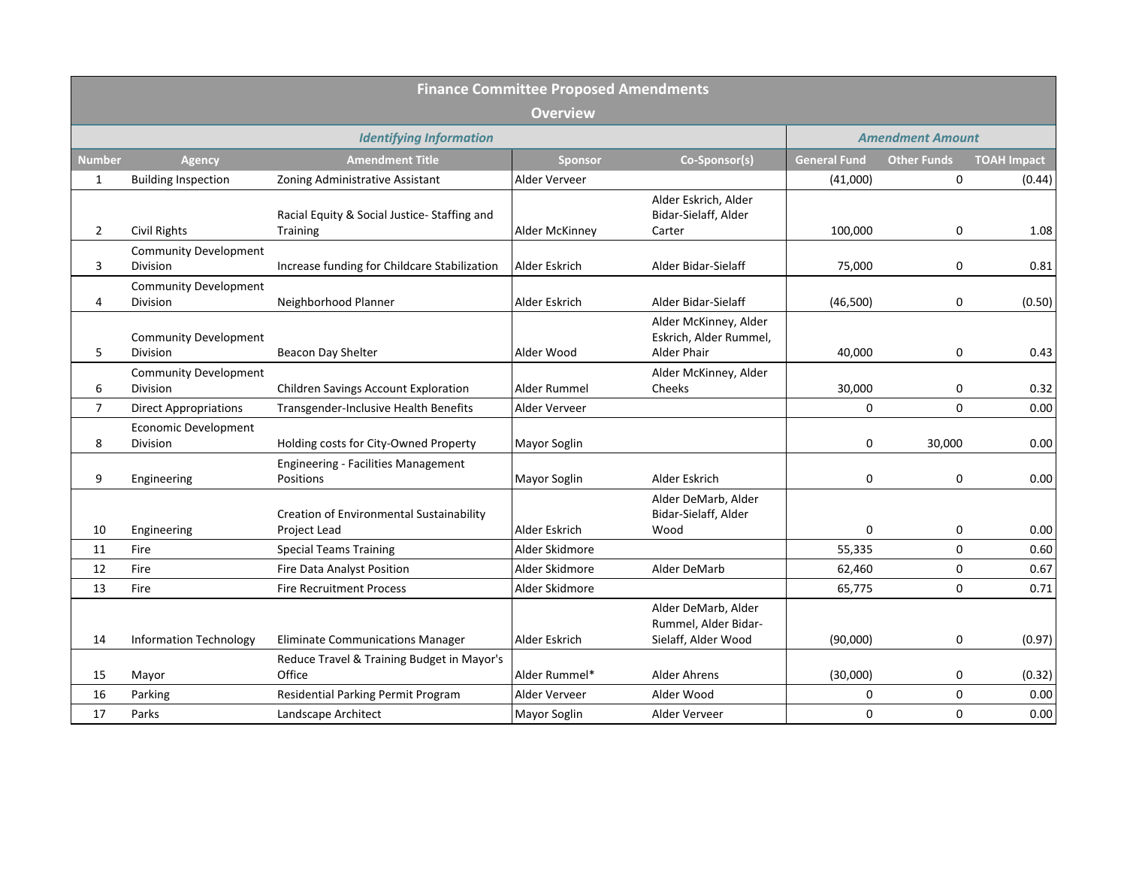|                | <b>Finance Committee Proposed Amendments</b>    |                                                          |                     |                                                                       |                         |                    |                    |
|----------------|-------------------------------------------------|----------------------------------------------------------|---------------------|-----------------------------------------------------------------------|-------------------------|--------------------|--------------------|
|                | <b>Overview</b>                                 |                                                          |                     |                                                                       |                         |                    |                    |
|                |                                                 | <b>Identifying Information</b>                           |                     |                                                                       | <b>Amendment Amount</b> |                    |                    |
| <b>Number</b>  | Agency                                          | <b>Amendment Title</b>                                   | <b>Sponsor</b>      | Co-Sponsor(s)                                                         | <b>General Fund</b>     | <b>Other Funds</b> | <b>TOAH Impact</b> |
| 1              | <b>Building Inspection</b>                      | Zoning Administrative Assistant                          | Alder Verveer       |                                                                       | (41,000)                | 0                  | (0.44)             |
| $\overline{2}$ | <b>Civil Rights</b>                             | Racial Equity & Social Justice-Staffing and<br>Training  | Alder McKinney      | Alder Eskrich, Alder<br>Bidar-Sielaff, Alder<br>Carter                | 100,000                 | 0                  | 1.08               |
| 3              | <b>Community Development</b><br>Division        | Increase funding for Childcare Stabilization             | Alder Eskrich       | Alder Bidar-Sielaff                                                   | 75,000                  | 0                  | 0.81               |
| $\overline{4}$ | <b>Community Development</b><br>Division        | Neighborhood Planner                                     | Alder Eskrich       | Alder Bidar-Sielaff                                                   | (46,500)                | 0                  | (0.50)             |
| 5              | <b>Community Development</b><br><b>Division</b> | Beacon Day Shelter                                       | Alder Wood          | Alder McKinney, Alder<br>Eskrich, Alder Rummel,<br><b>Alder Phair</b> | 40,000                  | 0                  | 0.43               |
| 6              | <b>Community Development</b><br><b>Division</b> | Children Savings Account Exploration                     | Alder Rummel        | Alder McKinney, Alder<br>Cheeks                                       | 30,000                  | 0                  | 0.32               |
| $\overline{7}$ | <b>Direct Appropriations</b>                    | Transgender-Inclusive Health Benefits                    | Alder Verveer       |                                                                       | $\mathbf 0$             | 0                  | 0.00               |
| 8              | <b>Economic Development</b><br><b>Division</b>  | Holding costs for City-Owned Property                    | <b>Mayor Soglin</b> |                                                                       | $\mathbf 0$             | 30,000             | 0.00               |
| 9              | Engineering                                     | <b>Engineering - Facilities Management</b><br>Positions  | Mayor Soglin        | Alder Eskrich                                                         | $\mathbf 0$             | 0                  | 0.00               |
| 10             | Engineering                                     | Creation of Environmental Sustainability<br>Project Lead | Alder Eskrich       | Alder DeMarb, Alder<br>Bidar-Sielaff, Alder<br>Wood                   | 0                       | 0                  | 0.00               |
| 11             | Fire                                            | <b>Special Teams Training</b>                            | Alder Skidmore      |                                                                       | 55,335                  | $\mathbf 0$        | 0.60               |
| 12             | Fire                                            | Fire Data Analyst Position                               | Alder Skidmore      | Alder DeMarb                                                          | 62,460                  | 0                  | 0.67               |
| 13             | Fire                                            | <b>Fire Recruitment Process</b>                          | Alder Skidmore      |                                                                       | 65,775                  | 0                  | 0.71               |
| 14             | <b>Information Technology</b>                   | <b>Eliminate Communications Manager</b>                  | Alder Eskrich       | Alder DeMarb, Alder<br>Rummel, Alder Bidar-<br>Sielaff, Alder Wood    | (90,000)                | 0                  | (0.97)             |
| 15             | Mayor                                           | Reduce Travel & Training Budget in Mayor's<br>Office     | Alder Rummel*       | Alder Ahrens                                                          | (30,000)                | 0                  | (0.32)             |
| 16             | Parking                                         | Residential Parking Permit Program                       | Alder Verveer       | Alder Wood                                                            | $\mathbf 0$             | 0                  | 0.00               |
| 17             | Parks                                           | Landscape Architect                                      | <b>Mayor Soglin</b> | Alder Verveer                                                         | $\mathbf 0$             | $\mathbf 0$        | 0.00               |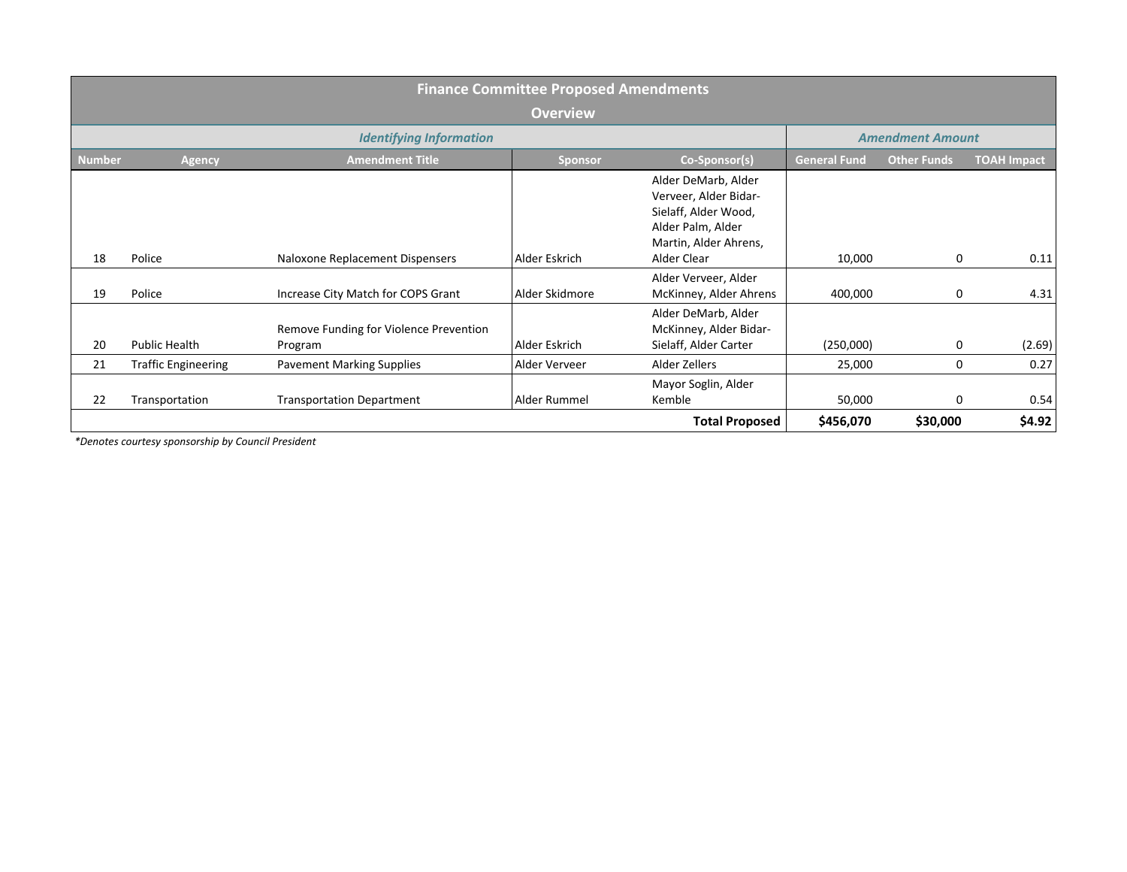|               | <b>Finance Committee Proposed Amendments</b>              |                                                   |                |                                                                                                                                   |                     |                    |                    |
|---------------|-----------------------------------------------------------|---------------------------------------------------|----------------|-----------------------------------------------------------------------------------------------------------------------------------|---------------------|--------------------|--------------------|
|               | <b>Overview</b>                                           |                                                   |                |                                                                                                                                   |                     |                    |                    |
|               | <b>Identifying Information</b><br><b>Amendment Amount</b> |                                                   |                |                                                                                                                                   |                     |                    |                    |
| <b>Number</b> | <b>Agency</b>                                             | <b>Amendment Title</b>                            | <b>Sponsor</b> | Co-Sponsor(s)                                                                                                                     | <b>General Fund</b> | <b>Other Funds</b> | <b>TOAH Impact</b> |
| 18            | Police                                                    | Naloxone Replacement Dispensers                   | Alder Eskrich  | Alder DeMarb, Alder<br>Verveer, Alder Bidar-<br>Sielaff, Alder Wood,<br>Alder Palm, Alder<br>Martin, Alder Ahrens,<br>Alder Clear | 10,000              | 0                  | 0.11               |
| 19            | Police                                                    | Increase City Match for COPS Grant                | Alder Skidmore | Alder Verveer, Alder<br>McKinney, Alder Ahrens                                                                                    | 400,000             | 0                  | 4.31               |
| 20            | Public Health                                             | Remove Funding for Violence Prevention<br>Program | Alder Eskrich  | Alder DeMarb, Alder<br>McKinney, Alder Bidar-<br>Sielaff, Alder Carter                                                            | (250,000)           | 0                  | (2.69)             |
| 21            | <b>Traffic Engineering</b>                                | <b>Pavement Marking Supplies</b>                  | Alder Verveer  | Alder Zellers                                                                                                                     | 25,000              | 0                  | 0.27               |
| 22            | Transportation                                            | <b>Transportation Department</b>                  | Alder Rummel   | Mayor Soglin, Alder<br>Kemble                                                                                                     | 50,000              | 0                  | 0.54               |
|               |                                                           |                                                   |                | <b>Total Proposed</b>                                                                                                             | \$456,070           | \$30,000           | \$4.92             |

*\*Denotes courtesy sponsorship by Council President*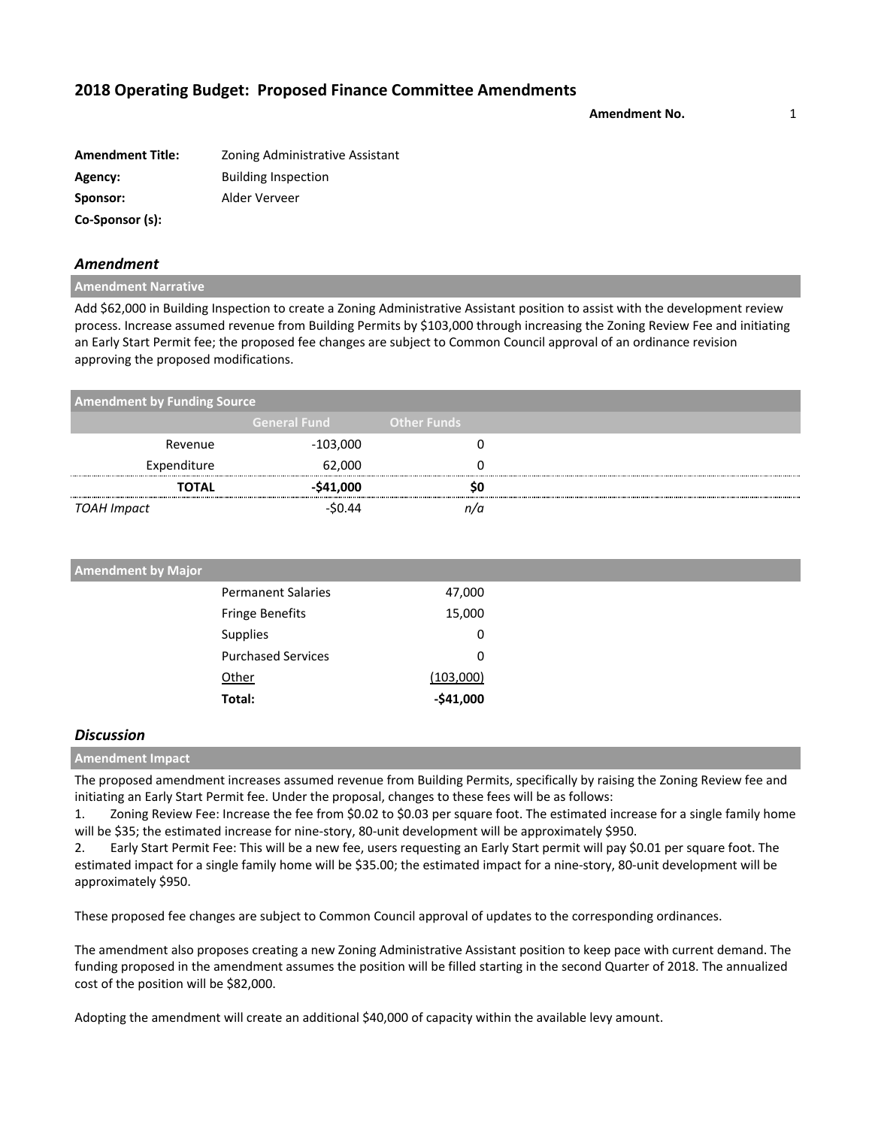**Amendment No.** 1

| <b>Amendment Title:</b> | Zoning Administrative Assistant |
|-------------------------|---------------------------------|
| Agency:                 | <b>Building Inspection</b>      |
| Sponsor:                | Alder Verveer                   |
| Co-Sponsor (s):         |                                 |

### *Amendment*

#### **Amendment Narrative**

Add \$62,000 in Building Inspection to create a Zoning Administrative Assistant position to assist with the development review process. Increase assumed revenue from Building Permits by \$103,000 through increasing the Zoning Review Fee and initiating an Early Start Permit fee; the proposed fee changes are subject to Common Council approval of an ordinance revision approving the proposed modifications.

| <b>Amendment by Funding Source</b> |                     |                    |  |
|------------------------------------|---------------------|--------------------|--|
|                                    | <b>General Fund</b> | <b>Other Funds</b> |  |
| Revenue                            | -103,000            |                    |  |
| Expenditure                        | 62,000              |                    |  |
| <b>TOTAL</b>                       | $-541,000$          |                    |  |
| TOAH Impact                        | $-50.44$            |                    |  |

| <b>Amendment by Major</b> |                           |            |
|---------------------------|---------------------------|------------|
|                           | <b>Permanent Salaries</b> | 47,000     |
|                           | <b>Fringe Benefits</b>    | 15,000     |
|                           | <b>Supplies</b>           | 0          |
|                           | <b>Purchased Services</b> | 0          |
|                           | Other                     | (103,000)  |
|                           | Total:                    | $-541,000$ |

### *Discussion*

#### **Amendment Impact**

The proposed amendment increases assumed revenue from Building Permits, specifically by raising the Zoning Review fee and initiating an Early Start Permit fee. Under the proposal, changes to these fees will be as follows:

1. Zoning Review Fee: Increase the fee from \$0.02 to \$0.03 per square foot. The estimated increase for a single family home will be \$35; the estimated increase for nine-story, 80-unit development will be approximately \$950.

2. Early Start Permit Fee: This will be a new fee, users requesting an Early Start permit will pay \$0.01 per square foot. The estimated impact for a single family home will be \$35.00; the estimated impact for a nine-story, 80-unit development will be approximately \$950.

These proposed fee changes are subject to Common Council approval of updates to the corresponding ordinances.

The amendment also proposes creating a new Zoning Administrative Assistant position to keep pace with current demand. The funding proposed in the amendment assumes the position will be filled starting in the second Quarter of 2018. The annualized cost of the position will be \$82,000.

Adopting the amendment will create an additional \$40,000 of capacity within the available levy amount.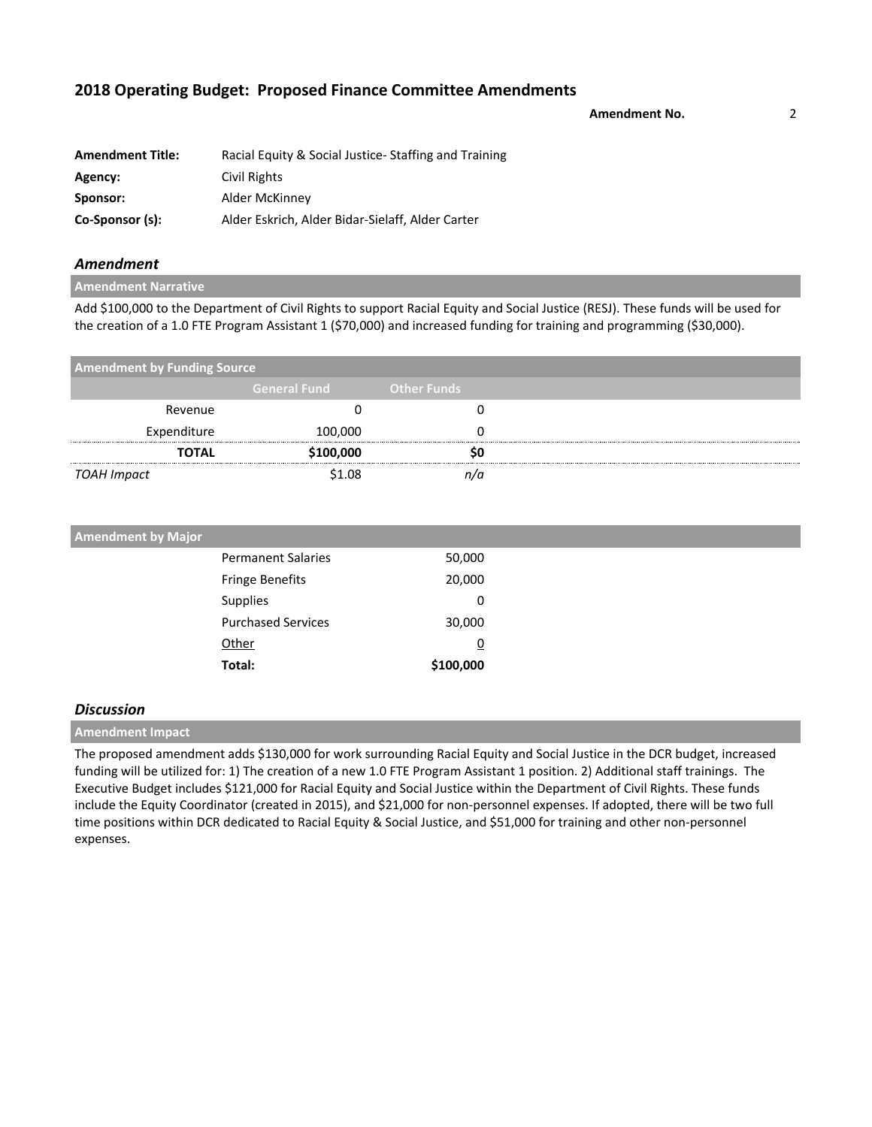**Amendment No.** 2

| <b>Amendment Title:</b> | Racial Equity & Social Justice-Staffing and Training |
|-------------------------|------------------------------------------------------|
| Agency:                 | Civil Rights                                         |
| Sponsor:                | Alder McKinney                                       |
| Co-Sponsor (s):         | Alder Eskrich, Alder Bidar-Sielaff, Alder Carter     |

### *Amendment*

**Amendment Narrative**

Add \$100,000 to the Department of Civil Rights to support Racial Equity and Social Justice (RESJ). These funds will be used for the creation of a 1.0 FTE Program Assistant 1 (\$70,000) and increased funding for training and programming (\$30,000).

| <b>Amendment by Funding Source</b> |                     |                    |  |
|------------------------------------|---------------------|--------------------|--|
|                                    | <b>General Fund</b> | <b>Other Funds</b> |  |
| Revenue                            |                     |                    |  |
| Expenditure                        | 100,000             |                    |  |
| <b>TOTAL</b>                       | \$100,000           | 50                 |  |
| TOAH Impact                        | \$1.08              | n/a                |  |

| <b>Amendment by Major</b> |           |  |
|---------------------------|-----------|--|
| <b>Permanent Salaries</b> | 50,000    |  |
| Fringe Benefits           | 20,000    |  |
| Supplies                  | 0         |  |
| <b>Purchased Services</b> | 30,000    |  |
| Other                     | <u>0</u>  |  |
| Total:                    | \$100,000 |  |

### *Discussion*

**Amendment Impact**

The proposed amendment adds \$130,000 for work surrounding Racial Equity and Social Justice in the DCR budget, increased funding will be utilized for: 1) The creation of a new 1.0 FTE Program Assistant 1 position. 2) Additional staff trainings. The Executive Budget includes \$121,000 for Racial Equity and Social Justice within the Department of Civil Rights. These funds include the Equity Coordinator (created in 2015), and \$21,000 for non-personnel expenses. If adopted, there will be two full time positions within DCR dedicated to Racial Equity & Social Justice, and \$51,000 for training and other non-personnel expenses.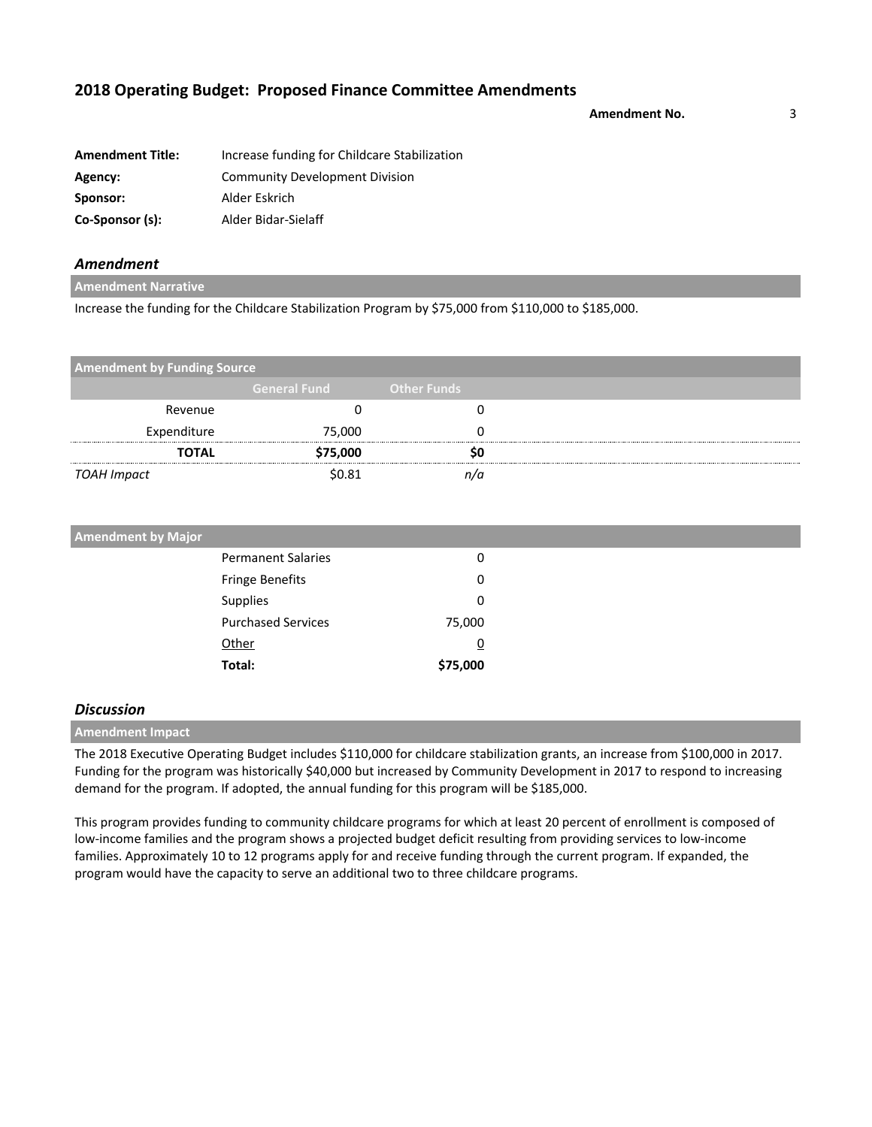**Amendment No.** 3

| <b>Amendment Title:</b> | Increase funding for Childcare Stabilization |
|-------------------------|----------------------------------------------|
| Agency:                 | <b>Community Development Division</b>        |
| Sponsor:                | Alder Eskrich                                |
| Co-Sponsor (s):         | Alder Bidar-Sielaff                          |

### *Amendment*

**Amendment Narrative**

Increase the funding for the Childcare Stabilization Program by \$75,000 from \$110,000 to \$185,000.

| <b>Amendment by Funding Source</b> |                     |                    |  |
|------------------------------------|---------------------|--------------------|--|
|                                    | <b>General Fund</b> | <b>Other Funds</b> |  |
| Revenue                            |                     |                    |  |
| Expenditure                        | 75,000              |                    |  |
| <b>TOTAL</b>                       | \$75,000            | so                 |  |
| TOAH Impact                        | \$0.81              | n/a                |  |

| <b>Amendment by Major</b> |          |  |
|---------------------------|----------|--|
| <b>Permanent Salaries</b> | 0        |  |
| Fringe Benefits           | 0        |  |
| Supplies                  | 0        |  |
| <b>Purchased Services</b> | 75,000   |  |
| Other                     | <u>0</u> |  |
| Total:                    | \$75,000 |  |

### *Discussion*

**Amendment Impact**

The 2018 Executive Operating Budget includes \$110,000 for childcare stabilization grants, an increase from \$100,000 in 2017. Funding for the program was historically \$40,000 but increased by Community Development in 2017 to respond to increasing demand for the program. If adopted, the annual funding for this program will be \$185,000.

This program provides funding to community childcare programs for which at least 20 percent of enrollment is composed of low-income families and the program shows a projected budget deficit resulting from providing services to low-income families. Approximately 10 to 12 programs apply for and receive funding through the current program. If expanded, the program would have the capacity to serve an additional two to three childcare programs.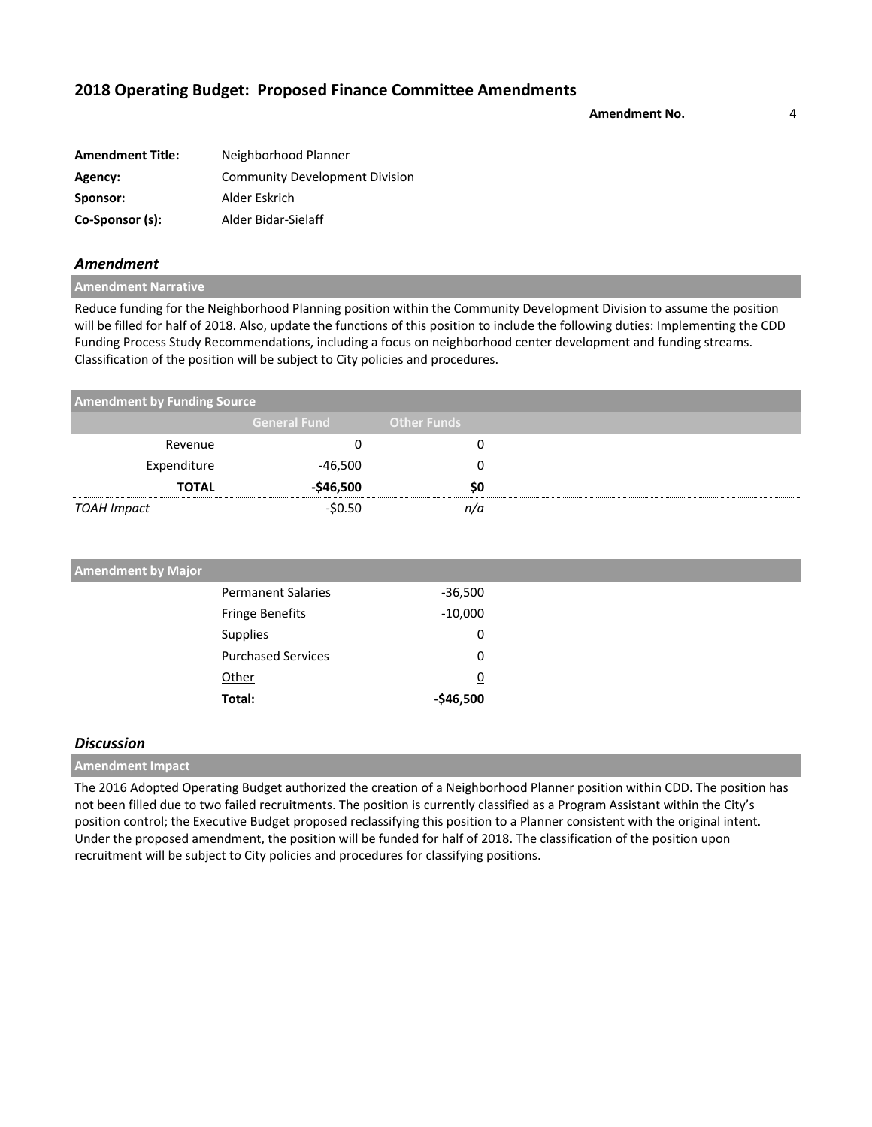**Amendment No.** 4

| <b>Amendment Title:</b> | Neighborhood Planner                  |
|-------------------------|---------------------------------------|
| Agency:                 | <b>Community Development Division</b> |
| Sponsor:                | Alder Eskrich                         |
| Co-Sponsor (s):         | Alder Bidar-Sielaff                   |

### *Amendment*

### **Amendment Narrative**

Reduce funding for the Neighborhood Planning position within the Community Development Division to assume the position will be filled for half of 2018. Also, update the functions of this position to include the following duties: Implementing the CDD Funding Process Study Recommendations, including a focus on neighborhood center development and funding streams. Classification of the position will be subject to City policies and procedures.

| <b>Amendment by Funding Source</b> |                     |                    |
|------------------------------------|---------------------|--------------------|
|                                    | <b>General Fund</b> | <b>Other Funds</b> |
| Revenue                            |                     |                    |
| Expenditure                        | -46,500             |                    |
| <b>TOTAL</b>                       | $-$46,500$          | SΟ                 |
| TOAH Impact                        | $-50.50$            | n/n                |

| <b>Amendment by Major</b> |                           |                |  |
|---------------------------|---------------------------|----------------|--|
|                           | <b>Permanent Salaries</b> | $-36,500$      |  |
|                           | <b>Fringe Benefits</b>    | $-10,000$      |  |
| Supplies                  |                           | 0              |  |
|                           | <b>Purchased Services</b> | 0              |  |
| Other                     |                           | $\overline{0}$ |  |
| Total:                    |                           | $-$46,500$     |  |

### *Discussion*

## **Amendment Impact**

The 2016 Adopted Operating Budget authorized the creation of a Neighborhood Planner position within CDD. The position has not been filled due to two failed recruitments. The position is currently classified as a Program Assistant within the City's position control; the Executive Budget proposed reclassifying this position to a Planner consistent with the original intent. Under the proposed amendment, the position will be funded for half of 2018. The classification of the position upon recruitment will be subject to City policies and procedures for classifying positions.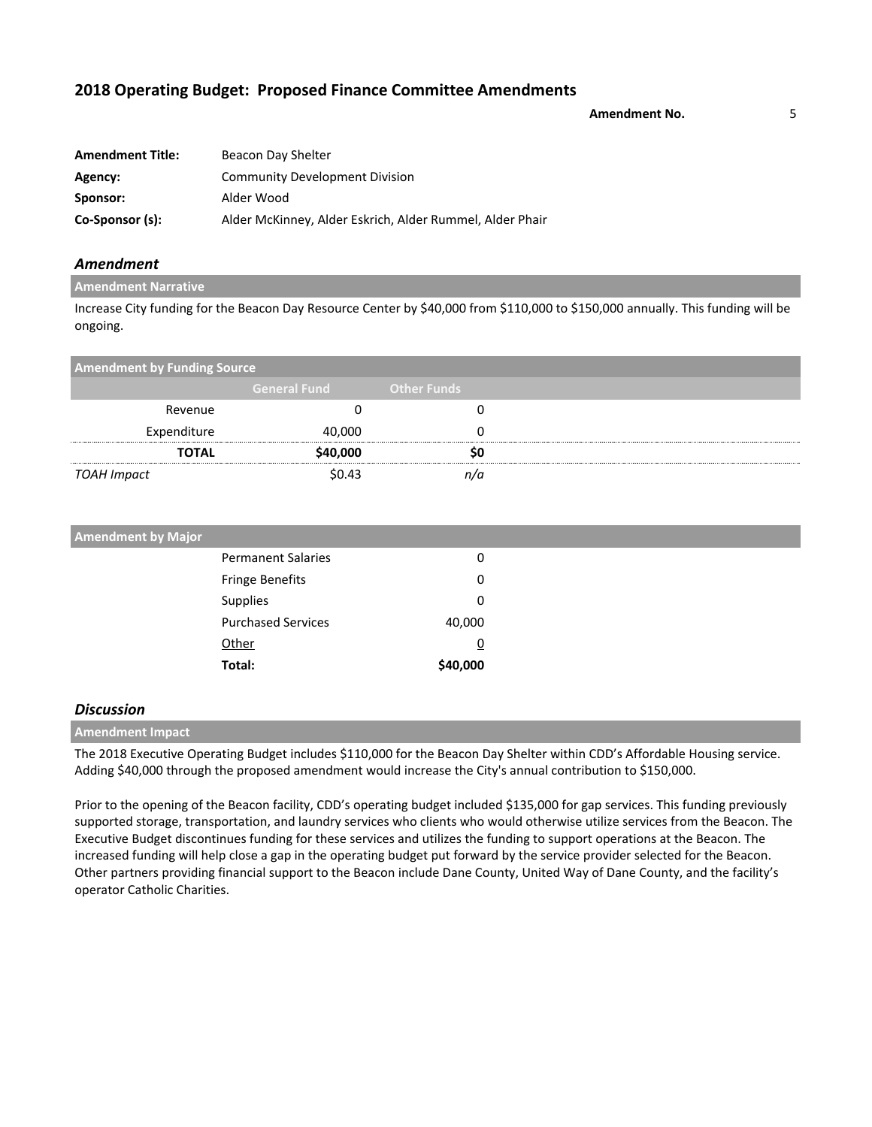**Amendment No.** 5

| <b>Amendment Title:</b> | Beacon Day Shelter                                       |
|-------------------------|----------------------------------------------------------|
| Agency:                 | <b>Community Development Division</b>                    |
| Sponsor:                | Alder Wood                                               |
| Co-Sponsor (s):         | Alder McKinney, Alder Eskrich, Alder Rummel, Alder Phair |

### *Amendment*

### **Amendment Narrative**

Increase City funding for the Beacon Day Resource Center by \$40,000 from \$110,000 to \$150,000 annually. This funding will be ongoing.

| <b>Amendment by Funding Source</b> |                     |                    |  |
|------------------------------------|---------------------|--------------------|--|
|                                    | <b>General Fund</b> | <b>Other Funds</b> |  |
| Revenue                            |                     |                    |  |
| Expenditure                        | 40,000              |                    |  |
| <b>TOTAL</b>                       | \$40,000            | 50                 |  |
| TOAH Impact                        | \$0.43              |                    |  |

| <b>Amendment by Major</b> |          |
|---------------------------|----------|
| <b>Permanent Salaries</b> | 0        |
| <b>Fringe Benefits</b>    | 0        |
| Supplies                  | 0        |
| <b>Purchased Services</b> | 40,000   |
| Other                     | <u>0</u> |
| Total:                    | \$40,000 |

### *Discussion*

### **Amendment Impact**

The 2018 Executive Operating Budget includes \$110,000 for the Beacon Day Shelter within CDD's Affordable Housing service. Adding \$40,000 through the proposed amendment would increase the City's annual contribution to \$150,000.

Prior to the opening of the Beacon facility, CDD's operating budget included \$135,000 for gap services. This funding previously supported storage, transportation, and laundry services who clients who would otherwise utilize services from the Beacon. The Executive Budget discontinues funding for these services and utilizes the funding to support operations at the Beacon. The increased funding will help close a gap in the operating budget put forward by the service provider selected for the Beacon. Other partners providing financial support to the Beacon include Dane County, United Way of Dane County, and the facility's operator Catholic Charities.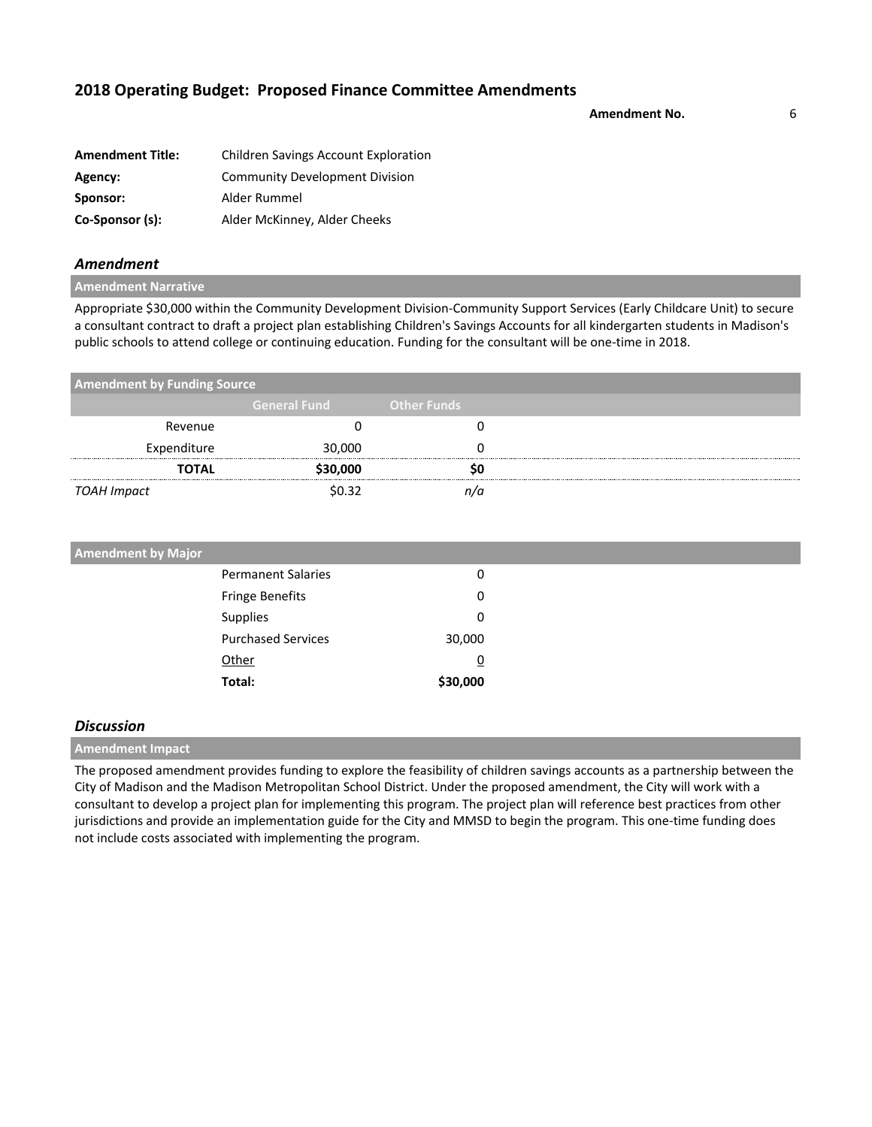**Amendment No.** 6

| <b>Amendment Title:</b> | <b>Children Savings Account Exploration</b> |
|-------------------------|---------------------------------------------|
| Agency:                 | <b>Community Development Division</b>       |
| Sponsor:                | Alder Rummel                                |
| Co-Sponsor (s):         | Alder McKinney, Alder Cheeks                |

### *Amendment*

**Amendment Narrative**

Appropriate \$30,000 within the Community Development Division-Community Support Services (Early Childcare Unit) to secure a consultant contract to draft a project plan establishing Children's Savings Accounts for all kindergarten students in Madison's public schools to attend college or continuing education. Funding for the consultant will be one-time in 2018.

| <b>Amendment by Funding Source</b> |                     |                    |  |
|------------------------------------|---------------------|--------------------|--|
|                                    | <b>General Fund</b> | <b>Other Funds</b> |  |
| Revenue                            |                     |                    |  |
| Expenditure                        | 30,000              |                    |  |
| <b>TOTAL</b>                       | \$30,000            |                    |  |
| TOAH Impact                        | \$0.32              | n/a                |  |

| <b>Amendment by Major</b> |                           |                |
|---------------------------|---------------------------|----------------|
|                           | <b>Permanent Salaries</b> | 0              |
|                           | <b>Fringe Benefits</b>    | 0              |
|                           | Supplies                  | 0              |
|                           | <b>Purchased Services</b> | 30,000         |
|                           | Other                     | $\overline{0}$ |
|                           | Total:                    | \$30,000       |

### *Discussion*

**Amendment Impact**

The proposed amendment provides funding to explore the feasibility of children savings accounts as a partnership between the City of Madison and the Madison Metropolitan School District. Under the proposed amendment, the City will work with a consultant to develop a project plan for implementing this program. The project plan will reference best practices from other jurisdictions and provide an implementation guide for the City and MMSD to begin the program. This one-time funding does not include costs associated with implementing the program.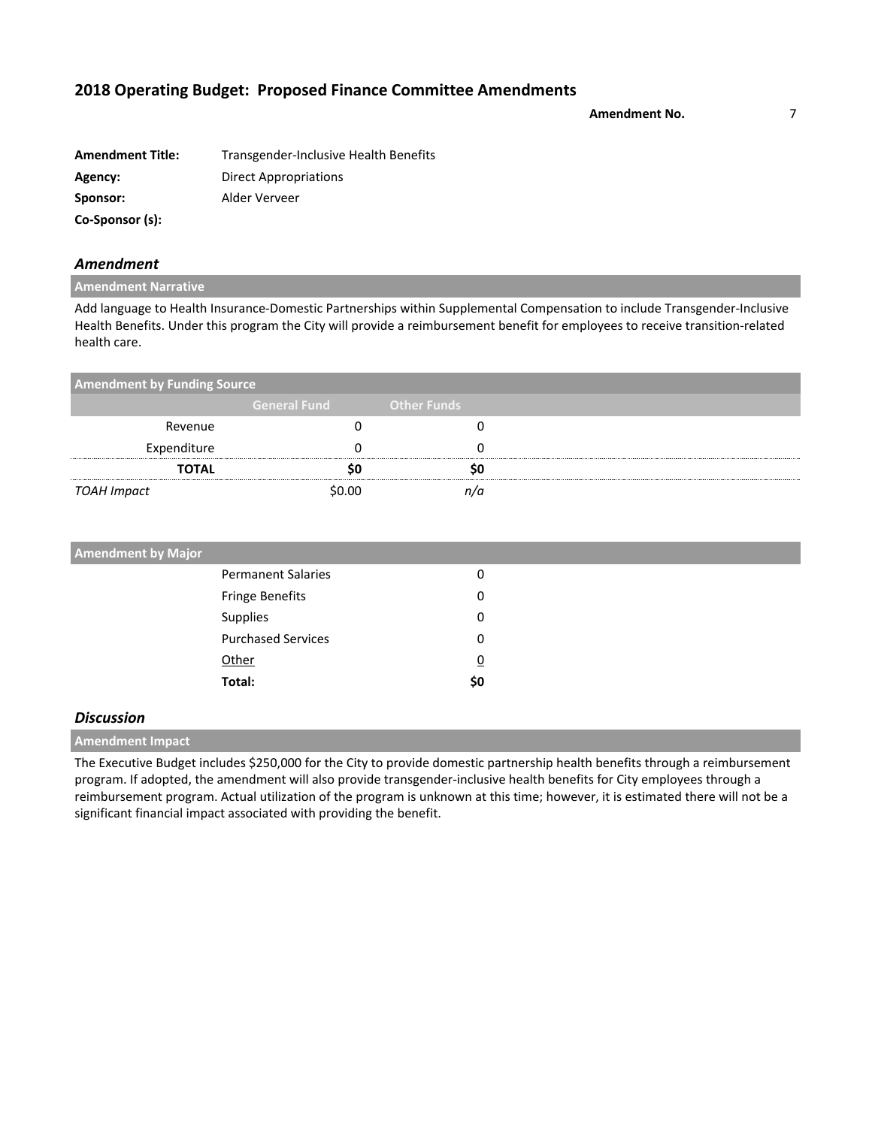**Amendment No.** 7

| <b>Amendment Title:</b> | Transgender-Inclusive Health Benefits |
|-------------------------|---------------------------------------|
| Agency:                 | Direct Appropriations                 |
| Sponsor:                | Alder Verveer                         |
| Co-Sponsor (s):         |                                       |

### *Amendment*

### **Amendment Narrative**

Add language to Health Insurance-Domestic Partnerships within Supplemental Compensation to include Transgender-Inclusive Health Benefits. Under this program the City will provide a reimbursement benefit for employees to receive transition-related health care.

| <b>Amendment by Funding Source</b> |                     |                    |  |
|------------------------------------|---------------------|--------------------|--|
|                                    | <b>General Fund</b> | <b>Other Funds</b> |  |
| Revenue                            |                     |                    |  |
| Expenditure                        |                     |                    |  |
| <b>TOTAL</b>                       |                     |                    |  |
| TOAH Impact                        | ሩስ ሰስ               |                    |  |

| <b>Amendment by Major</b> |                |  |
|---------------------------|----------------|--|
| <b>Permanent Salaries</b> | 0              |  |
| Fringe Benefits           | 0              |  |
| Supplies                  | 0              |  |
| <b>Purchased Services</b> | 0              |  |
| Other                     | $\overline{0}$ |  |
| Total:                    | \$0            |  |

### *Discussion*

**Amendment Impact**

The Executive Budget includes \$250,000 for the City to provide domestic partnership health benefits through a reimbursement program. If adopted, the amendment will also provide transgender-inclusive health benefits for City employees through a reimbursement program. Actual utilization of the program is unknown at this time; however, it is estimated there will not be a significant financial impact associated with providing the benefit.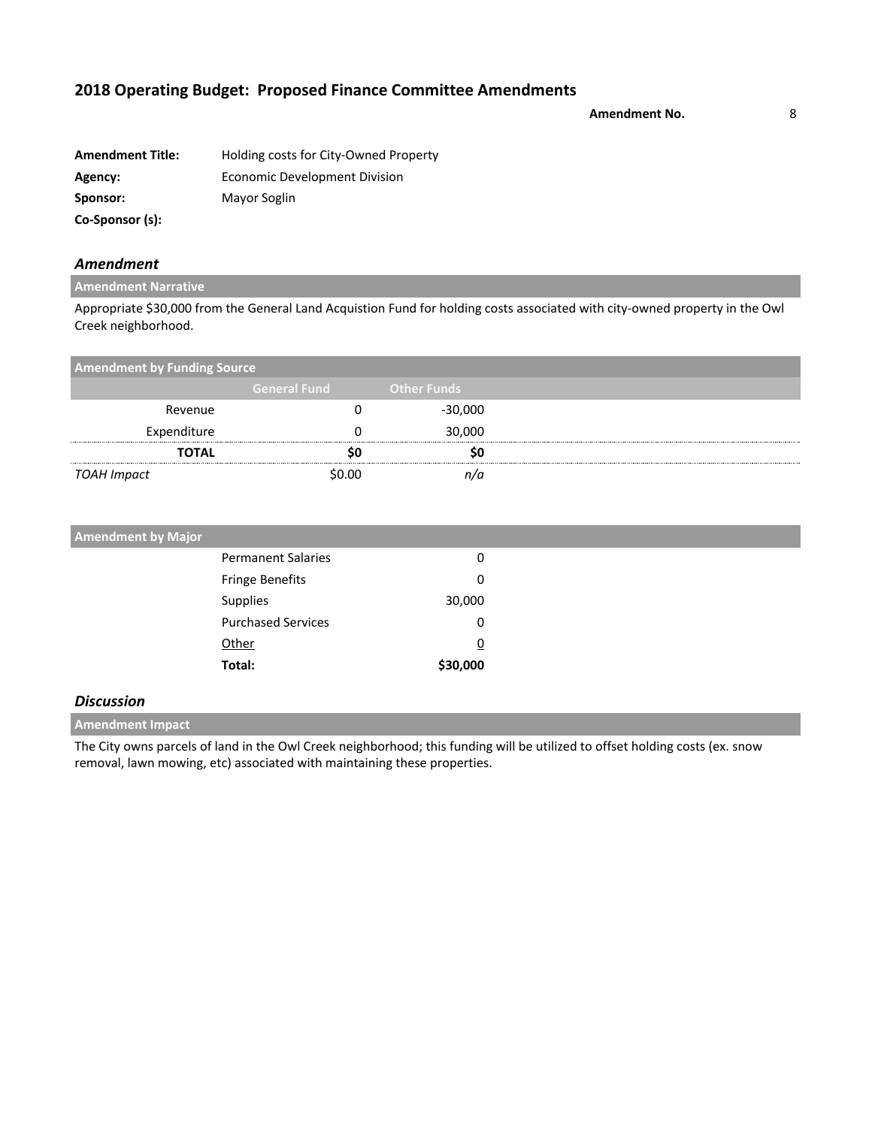**Amendment No.** 8

| <b>Amendment Title:</b> | Holding costs for City-Owned Property |
|-------------------------|---------------------------------------|
| Agency:                 | <b>Economic Development Division</b>  |
| Sponsor:                | Mayor Soglin                          |
| Co-Sponsor (s):         |                                       |

### *Amendment*

### **Amendment Narrative**

Appropriate \$30,000 from the General Land Acquistion Fund for holding costs associated with city-owned property in the Owl Creek neighborhood.

| <b>Amendment by Funding Source</b> |                     |                    |  |
|------------------------------------|---------------------|--------------------|--|
|                                    | <b>General Fund</b> | <b>Other Funds</b> |  |
| Revenue                            |                     | $-30,000$          |  |
| Expenditure                        |                     | 30,000             |  |
| <b>TOTAL</b>                       |                     |                    |  |
| TOAH Impact                        | \$በ በበ              |                    |  |

| <b>Amendment by Major</b> |                           |          |  |
|---------------------------|---------------------------|----------|--|
|                           | <b>Permanent Salaries</b> | 0        |  |
|                           | Fringe Benefits           | 0        |  |
| Supplies                  |                           | 30,000   |  |
|                           | <b>Purchased Services</b> | 0        |  |
| Other                     |                           | <u>0</u> |  |
| Total:                    |                           | \$30,000 |  |

### *Discussion*

**Amendment Impact**

The City owns parcels of land in the Owl Creek neighborhood; this funding will be utilized to offset holding costs (ex. snow removal, lawn mowing, etc) associated with maintaining these properties.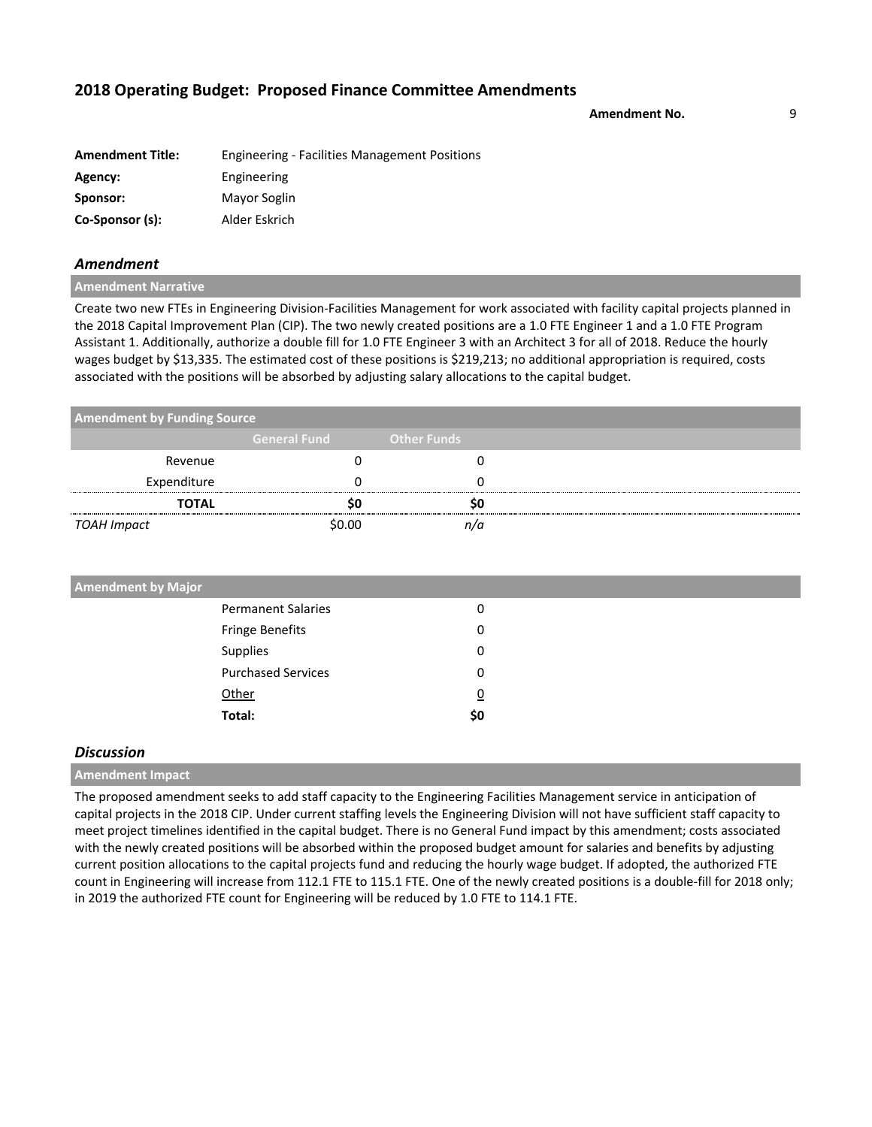**Amendment No.** 9

| <b>Amendment Title:</b> | <b>Engineering - Facilities Management Positions</b> |
|-------------------------|------------------------------------------------------|
| Agency:                 | Engineering                                          |
| Sponsor:                | Mayor Soglin                                         |
| Co-Sponsor (s):         | Alder Eskrich                                        |

### *Amendment*

**Amendment Narrative**

Create two new FTEs in Engineering Division-Facilities Management for work associated with facility capital projects planned in the 2018 Capital Improvement Plan (CIP). The two newly created positions are a 1.0 FTE Engineer 1 and a 1.0 FTE Program Assistant 1. Additionally, authorize a double fill for 1.0 FTE Engineer 3 with an Architect 3 for all of 2018. Reduce the hourly wages budget by \$13,335. The estimated cost of these positions is \$219,213; no additional appropriation is required, costs associated with the positions will be absorbed by adjusting salary allocations to the capital budget.

| <b>Amendment by Funding Source</b> |                     |                    |  |
|------------------------------------|---------------------|--------------------|--|
|                                    | <b>General Fund</b> | <b>Other Funds</b> |  |
| Revenue                            |                     |                    |  |
| Expenditure                        |                     |                    |  |
| <b>TOTAL</b>                       |                     |                    |  |
| TOAH Impact                        | \$በ በበ              |                    |  |

| <b>Amendment by Major</b> |                |  |
|---------------------------|----------------|--|
| <b>Permanent Salaries</b> | 0              |  |
| Fringe Benefits           | 0              |  |
| Supplies                  | 0              |  |
| <b>Purchased Services</b> | 0              |  |
| Other                     | $\overline{0}$ |  |
| Total:                    | \$0            |  |
|                           |                |  |

### *Discussion*

**Amendment Impact**

The proposed amendment seeks to add staff capacity to the Engineering Facilities Management service in anticipation of capital projects in the 2018 CIP. Under current staffing levels the Engineering Division will not have sufficient staff capacity to meet project timelines identified in the capital budget. There is no General Fund impact by this amendment; costs associated with the newly created positions will be absorbed within the proposed budget amount for salaries and benefits by adjusting current position allocations to the capital projects fund and reducing the hourly wage budget. If adopted, the authorized FTE count in Engineering will increase from 112.1 FTE to 115.1 FTE. One of the newly created positions is a double-fill for 2018 only; in 2019 the authorized FTE count for Engineering will be reduced by 1.0 FTE to 114.1 FTE.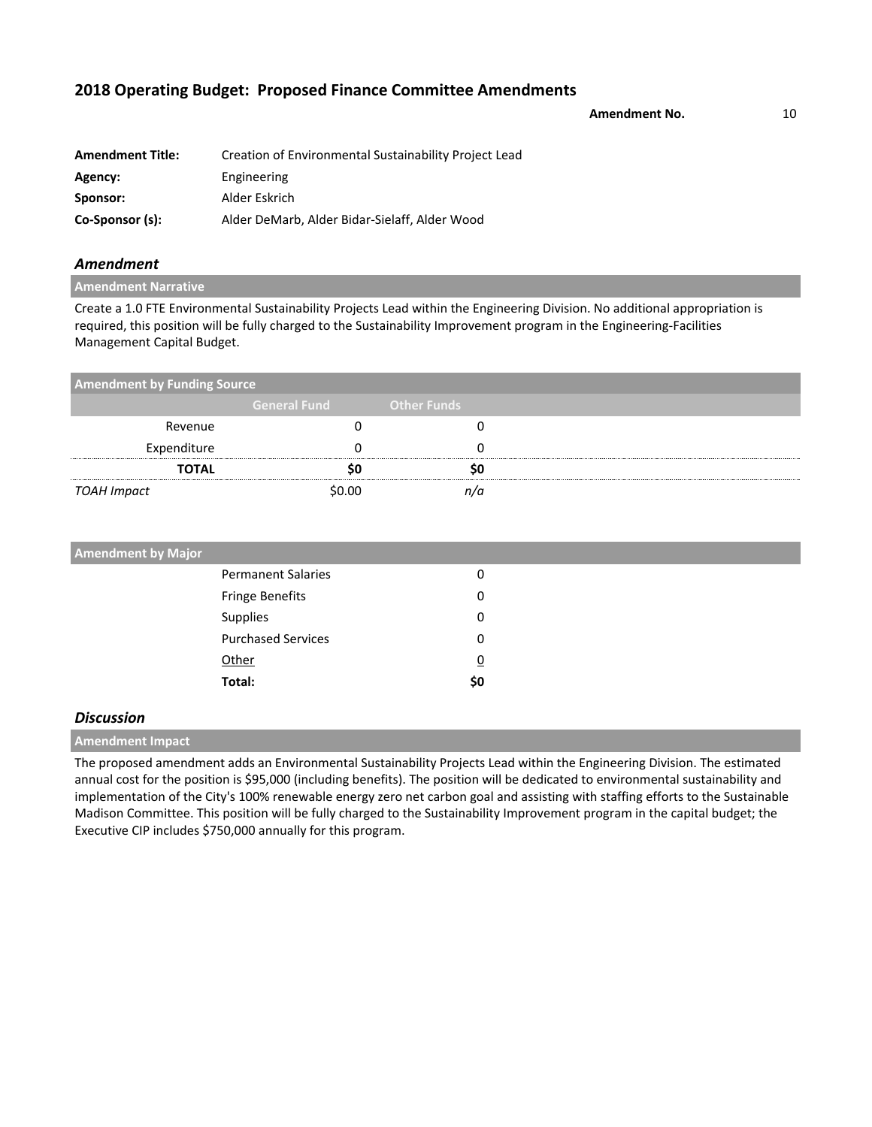Amendment No. **10** 

| <b>Amendment Title:</b> | Creation of Environmental Sustainability Project Lead |
|-------------------------|-------------------------------------------------------|
| Agency:                 | Engineering                                           |
| Sponsor:                | Alder Eskrich                                         |
| Co-Sponsor (s):         | Alder DeMarb, Alder Bidar-Sielaff, Alder Wood         |

### *Amendment*

**Amendment Narrative**

Create a 1.0 FTE Environmental Sustainability Projects Lead within the Engineering Division. No additional appropriation is required, this position will be fully charged to the Sustainability Improvement program in the Engineering-Facilities Management Capital Budget.

| <b>Amendment by Funding Source</b> |                     |                    |  |
|------------------------------------|---------------------|--------------------|--|
|                                    | <b>General Fund</b> | <b>Other Funds</b> |  |
| Revenue                            |                     |                    |  |
| Expenditure                        |                     |                    |  |
| <b>TOTAL</b>                       |                     |                    |  |
| TOAH Impact                        | \$0.00              | n/a                |  |

| <b>Amendment by Major</b> |                |  |
|---------------------------|----------------|--|
| <b>Permanent Salaries</b> | 0              |  |
| Fringe Benefits           | 0              |  |
| Supplies                  | 0              |  |
| <b>Purchased Services</b> | 0              |  |
| Other                     | $\overline{0}$ |  |
| Total:                    | \$0            |  |

### *Discussion*

**Amendment Impact**

The proposed amendment adds an Environmental Sustainability Projects Lead within the Engineering Division. The estimated annual cost for the position is \$95,000 (including benefits). The position will be dedicated to environmental sustainability and implementation of the City's 100% renewable energy zero net carbon goal and assisting with staffing efforts to the Sustainable Madison Committee. This position will be fully charged to the Sustainability Improvement program in the capital budget; the Executive CIP includes \$750,000 annually for this program.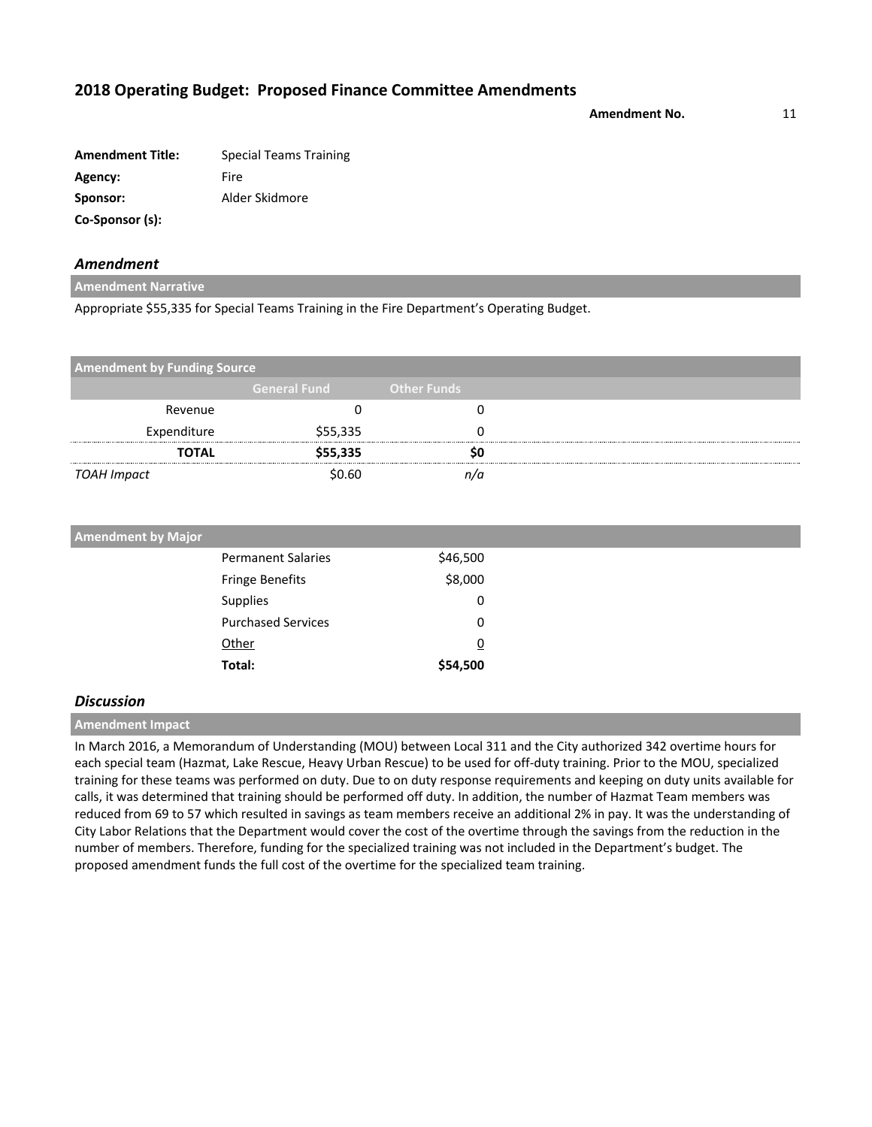**Amendment No.** 11

| <b>Amendment Title:</b> | <b>Special Teams Training</b> |
|-------------------------|-------------------------------|
| Agency:                 | Fire                          |
| Sponsor:                | Alder Skidmore                |
| Co-Sponsor (s):         |                               |

### *Amendment*

**Amendment Narrative**

Appropriate \$55,335 for Special Teams Training in the Fire Department's Operating Budget.

| <b>Amendment by Funding Source</b> |                     |                    |  |
|------------------------------------|---------------------|--------------------|--|
|                                    | <b>General Fund</b> | <b>Other Funds</b> |  |
| Revenue                            |                     |                    |  |
| Expenditure                        | \$55,335            |                    |  |
| <b>TOTAL</b>                       | \$55,335            | so                 |  |
| TOAH Impact                        | \$0.60              | n/a                |  |

| <b>Amendment by Major</b> |                |  |
|---------------------------|----------------|--|
| <b>Permanent Salaries</b> | \$46,500       |  |
| <b>Fringe Benefits</b>    | \$8,000        |  |
| Supplies                  | 0              |  |
| <b>Purchased Services</b> | 0              |  |
| Other                     | $\overline{0}$ |  |
| Total:                    | \$54,500       |  |

### *Discussion*

**Amendment Impact**

In March 2016, a Memorandum of Understanding (MOU) between Local 311 and the City authorized 342 overtime hours for each special team (Hazmat, Lake Rescue, Heavy Urban Rescue) to be used for off-duty training. Prior to the MOU, specialized training for these teams was performed on duty. Due to on duty response requirements and keeping on duty units available for calls, it was determined that training should be performed off duty. In addition, the number of Hazmat Team members was reduced from 69 to 57 which resulted in savings as team members receive an additional 2% in pay. It was the understanding of City Labor Relations that the Department would cover the cost of the overtime through the savings from the reduction in the number of members. Therefore, funding for the specialized training was not included in the Department's budget. The proposed amendment funds the full cost of the overtime for the specialized team training.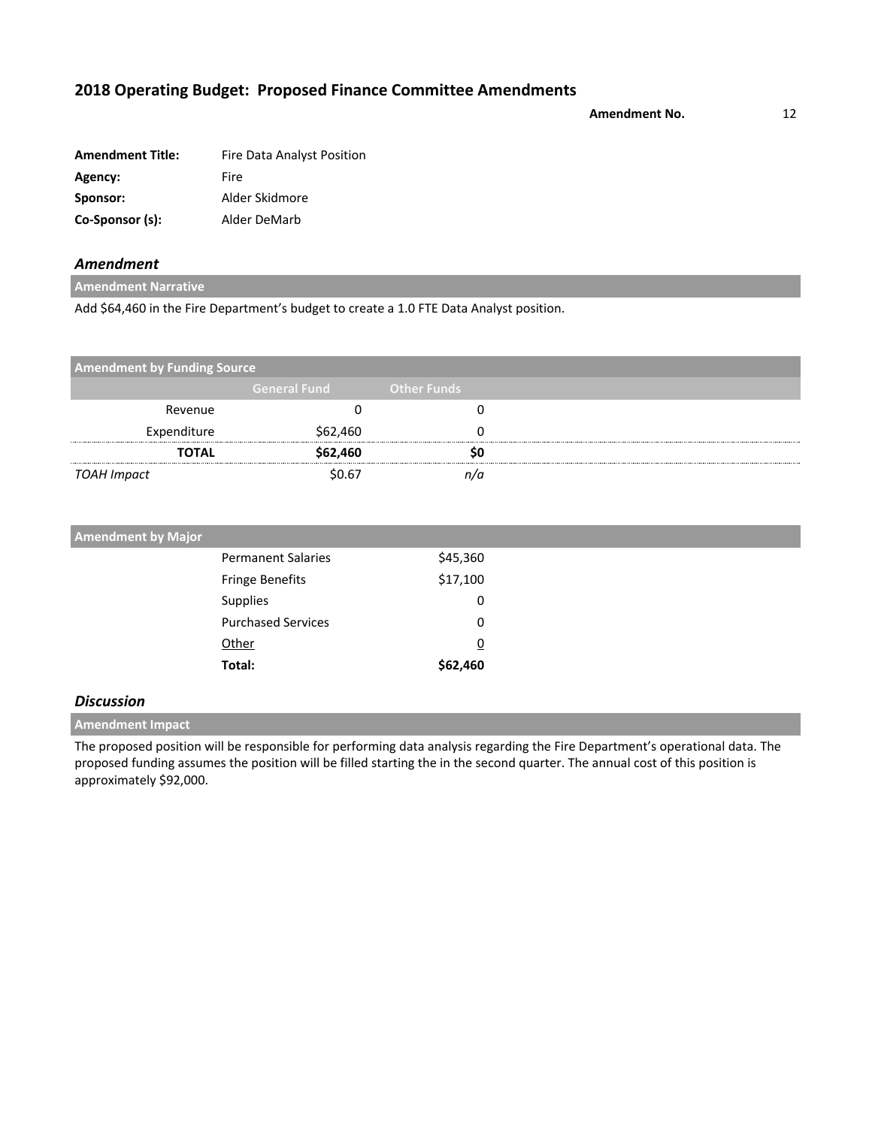**Amendment No.** 12

| <b>Amendment Title:</b> | Fire Data Analyst Position |
|-------------------------|----------------------------|
| Agency:                 | Fire                       |
| Sponsor:                | Alder Skidmore             |
| Co-Sponsor (s):         | Alder DeMarb               |

## *Amendment*

**Amendment Narrative**

Add \$64,460 in the Fire Department's budget to create a 1.0 FTE Data Analyst position.

| <b>Amendment by Funding Source</b> |                     |                    |  |
|------------------------------------|---------------------|--------------------|--|
|                                    | <b>General Fund</b> | <b>Other Funds</b> |  |
| Revenue                            |                     |                    |  |
| Expenditure                        | \$62,460            |                    |  |
| <b>TOTAL</b>                       | \$62,460            | so                 |  |
| TOAH Impact                        | \$0.67              | n/a                |  |

| <b>Amendment by Major</b> |                |  |
|---------------------------|----------------|--|
| <b>Permanent Salaries</b> | \$45,360       |  |
| <b>Fringe Benefits</b>    | \$17,100       |  |
| <b>Supplies</b>           | 0              |  |
| <b>Purchased Services</b> | 0              |  |
| Other                     | $\overline{0}$ |  |
| Total:                    | \$62,460       |  |
|                           |                |  |

## *Discussion*

**Amendment Impact**

The proposed position will be responsible for performing data analysis regarding the Fire Department's operational data. The proposed funding assumes the position will be filled starting the in the second quarter. The annual cost of this position is approximately \$92,000.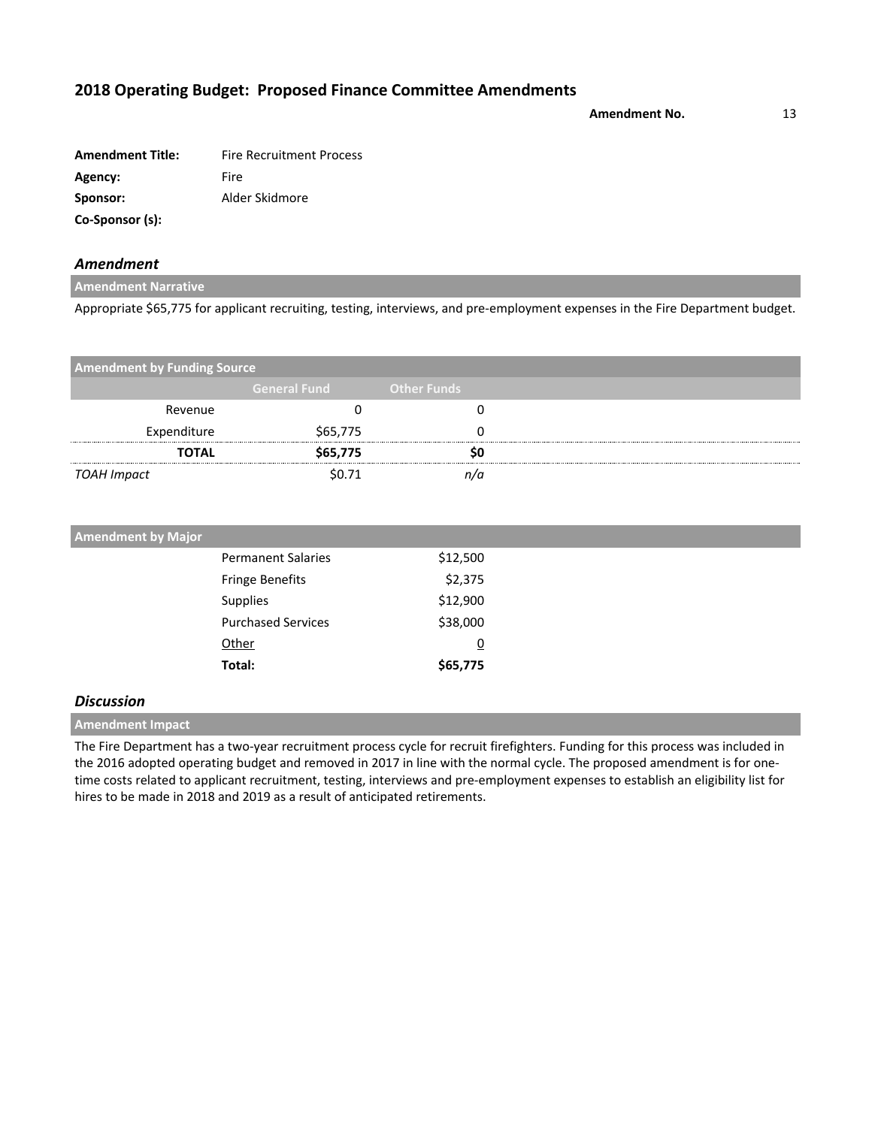Amendment No. 13

| <b>Amendment Title:</b> | <b>Fire Recruitment Process</b> |
|-------------------------|---------------------------------|
| Agency:                 | Fire                            |
| Sponsor:                | Alder Skidmore                  |
| Co-Sponsor (s):         |                                 |

### *Amendment*

**Amendment Narrative**

Appropriate \$65,775 for applicant recruiting, testing, interviews, and pre-employment expenses in the Fire Department budget.

| <b>Amendment by Funding Source</b> |                     |                    |  |
|------------------------------------|---------------------|--------------------|--|
|                                    | <b>General Fund</b> | <b>Other Funds</b> |  |
| Revenue                            |                     |                    |  |
| Expenditure                        | \$65,775            |                    |  |
| <b>TOTAL</b>                       | \$65,775            |                    |  |
| TOAH Impact                        | \$0.71              |                    |  |

| <b>Amendment by Major</b> |                |  |
|---------------------------|----------------|--|
| <b>Permanent Salaries</b> | \$12,500       |  |
| <b>Fringe Benefits</b>    | \$2,375        |  |
| Supplies                  | \$12,900       |  |
| <b>Purchased Services</b> | \$38,000       |  |
| Other                     | $\overline{0}$ |  |
| Total:                    | \$65,775       |  |
|                           |                |  |

## *Discussion*

**Amendment Impact**

The Fire Department has a two-year recruitment process cycle for recruit firefighters. Funding for this process was included in the 2016 adopted operating budget and removed in 2017 in line with the normal cycle. The proposed amendment is for onetime costs related to applicant recruitment, testing, interviews and pre-employment expenses to establish an eligibility list for hires to be made in 2018 and 2019 as a result of anticipated retirements.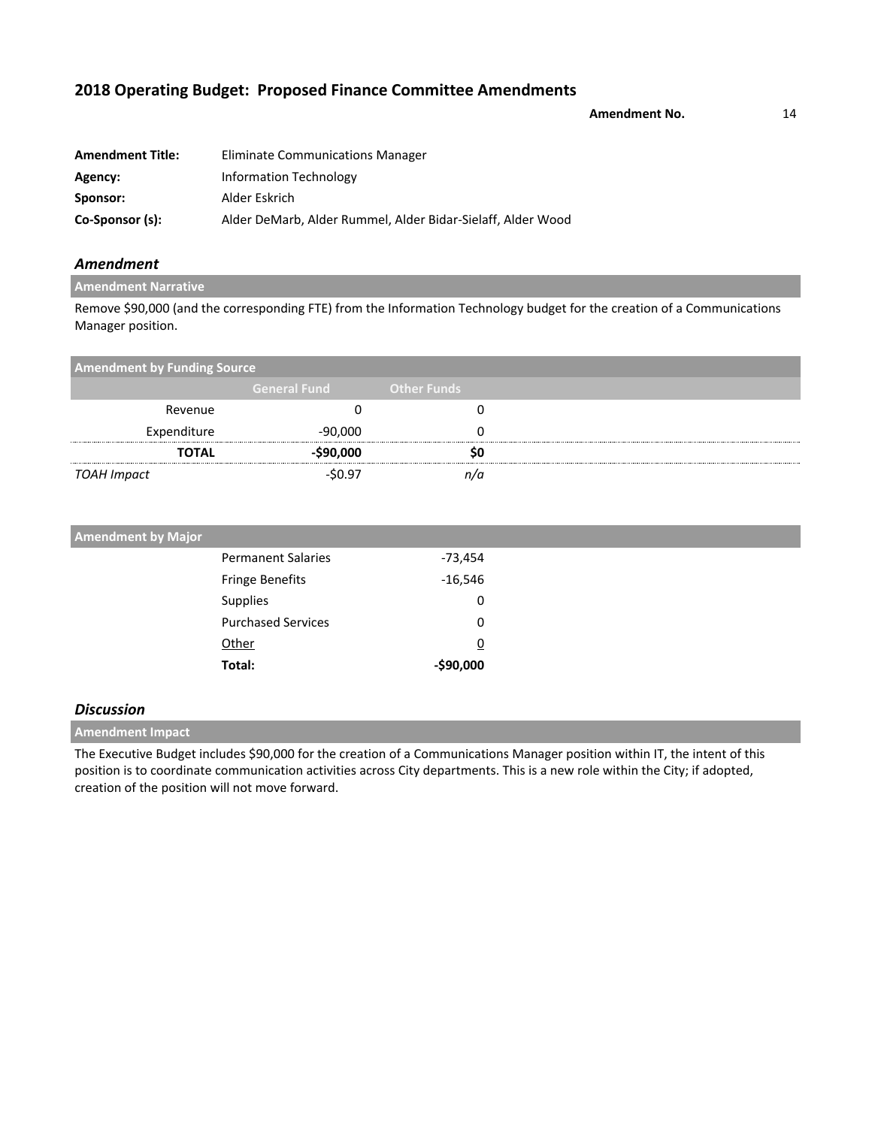**Amendment No.** 14

| <b>Amendment Title:</b> | Eliminate Communications Manager                            |
|-------------------------|-------------------------------------------------------------|
| Agency:                 | Information Technology                                      |
| Sponsor:                | Alder Eskrich                                               |
| Co-Sponsor (s):         | Alder DeMarb, Alder Rummel, Alder Bidar-Sielaff, Alder Wood |

### *Amendment*

### **Amendment Narrative**

Remove \$90,000 (and the corresponding FTE) from the Information Technology budget for the creation of a Communications Manager position.

| <b>Amendment by Funding Source</b> |                     |                    |  |
|------------------------------------|---------------------|--------------------|--|
|                                    | <b>General Fund</b> | <b>Other Funds</b> |  |
| Revenue                            |                     |                    |  |
| Expenditure                        | -90,000             |                    |  |
| <b>TOTAL</b>                       | $-$90,000$          |                    |  |
| TOAH Impact                        | $-50.97$            |                    |  |

| <b>Amendment by Major</b> |            |  |
|---------------------------|------------|--|
| <b>Permanent Salaries</b> | $-73,454$  |  |
| <b>Fringe Benefits</b>    | $-16,546$  |  |
| Supplies                  | 0          |  |
| <b>Purchased Services</b> | 0          |  |
| Other                     | <u>0</u>   |  |
| Total:                    | $-$90,000$ |  |

### *Discussion*

**Amendment Impact**

The Executive Budget includes \$90,000 for the creation of a Communications Manager position within IT, the intent of this position is to coordinate communication activities across City departments. This is a new role within the City; if adopted, creation of the position will not move forward.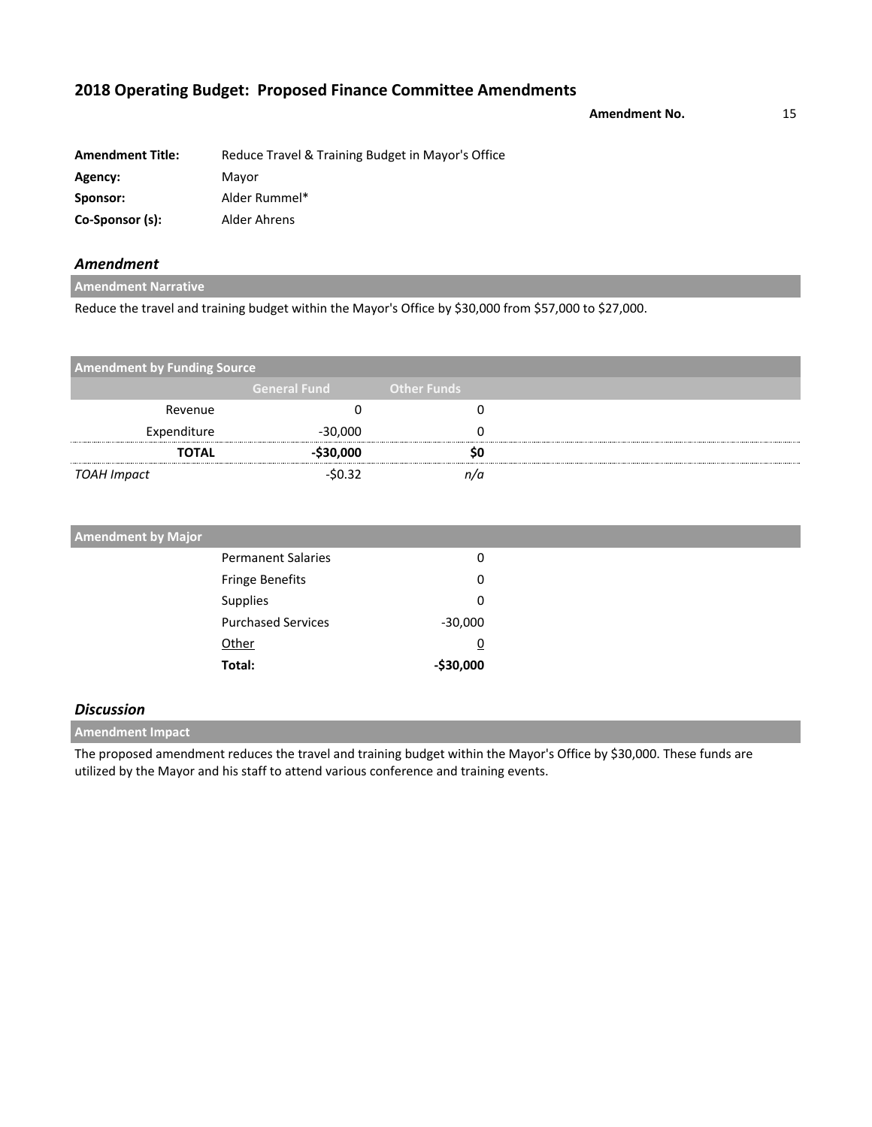**Amendment No.** 15

| <b>Amendment Title:</b> | Reduce Travel & Training Budget in Mayor's Office |
|-------------------------|---------------------------------------------------|
| Agency:                 | Mayor                                             |
| Sponsor:                | Alder Rummel*                                     |
| Co-Sponsor (s):         | Alder Ahrens                                      |

## *Amendment*

**Amendment Narrative**

Reduce the travel and training budget within the Mayor's Office by \$30,000 from \$57,000 to \$27,000.

| <b>Amendment by Funding Source</b> |                     |                    |  |
|------------------------------------|---------------------|--------------------|--|
|                                    | <b>General Fund</b> | <b>Other Funds</b> |  |
| Revenue                            |                     |                    |  |
| Expenditure                        | $-30,000$           |                    |  |
| <b>TOTAL</b>                       | -\$30,000           |                    |  |
| TOAH Impact                        | $-50.32$            |                    |  |

| <b>Amendment by Major</b> |           |
|---------------------------|-----------|
| <b>Permanent Salaries</b> | 0         |
| <b>Fringe Benefits</b>    | 0         |
| Supplies                  | 0         |
| <b>Purchased Services</b> | $-30,000$ |
| Other                     | <u>0</u>  |
| Total:                    | -\$30,000 |

### *Discussion*

**Amendment Impact**

The proposed amendment reduces the travel and training budget within the Mayor's Office by \$30,000. These funds are utilized by the Mayor and his staff to attend various conference and training events.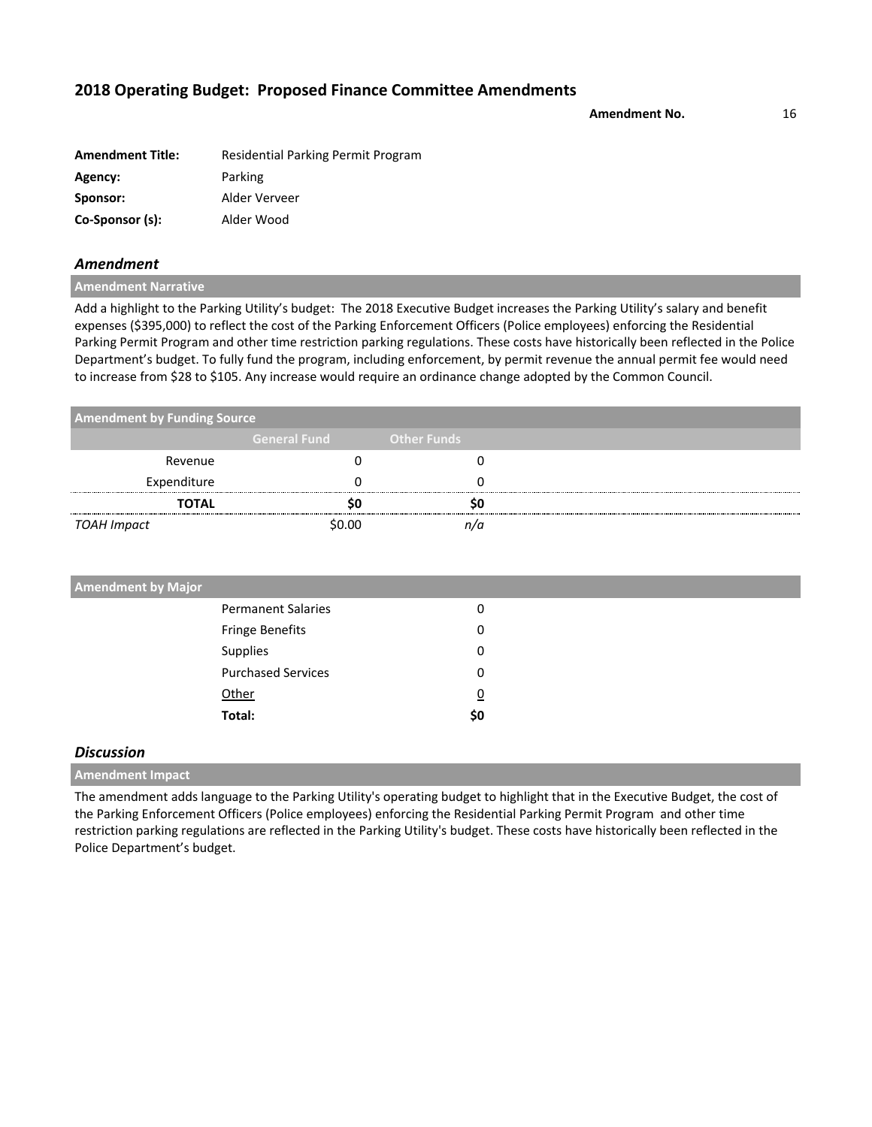**Amendment No.** 16

| <b>Amendment Title:</b> | Residential Parking Permit Program |
|-------------------------|------------------------------------|
| Agency:                 | Parking                            |
| Sponsor:                | Alder Verveer                      |
| Co-Sponsor (s):         | Alder Wood                         |

### *Amendment*

**Amendment Narrative**

Add a highlight to the Parking Utility's budget: The 2018 Executive Budget increases the Parking Utility's salary and benefit expenses (\$395,000) to reflect the cost of the Parking Enforcement Officers (Police employees) enforcing the Residential Parking Permit Program and other time restriction parking regulations. These costs have historically been reflected in the Police Department's budget. To fully fund the program, including enforcement, by permit revenue the annual permit fee would need to increase from \$28 to \$105. Any increase would require an ordinance change adopted by the Common Council.

| <b>Amendment by Funding Source</b> |                     |                    |  |
|------------------------------------|---------------------|--------------------|--|
|                                    | <b>General Fund</b> | <b>Other Funds</b> |  |
| Revenue                            |                     |                    |  |
| Expenditure                        |                     |                    |  |
| <b>TOTAL</b>                       |                     |                    |  |
| TOAH Impact                        | \$0.00              |                    |  |

| <b>Permanent Salaries</b><br>0<br>Fringe Benefits<br>0<br>Supplies<br>0 | <b>Amendment by Major</b> |  |  |
|-------------------------------------------------------------------------|---------------------------|--|--|
|                                                                         |                           |  |  |
|                                                                         |                           |  |  |
|                                                                         |                           |  |  |
| <b>Purchased Services</b><br>0                                          |                           |  |  |
| Other<br>$\overline{0}$                                                 |                           |  |  |
| Total:<br>\$0                                                           |                           |  |  |

### *Discussion*

**Amendment Impact**

The amendment adds language to the Parking Utility's operating budget to highlight that in the Executive Budget, the cost of the Parking Enforcement Officers (Police employees) enforcing the Residential Parking Permit Program and other time restriction parking regulations are reflected in the Parking Utility's budget. These costs have historically been reflected in the Police Department's budget.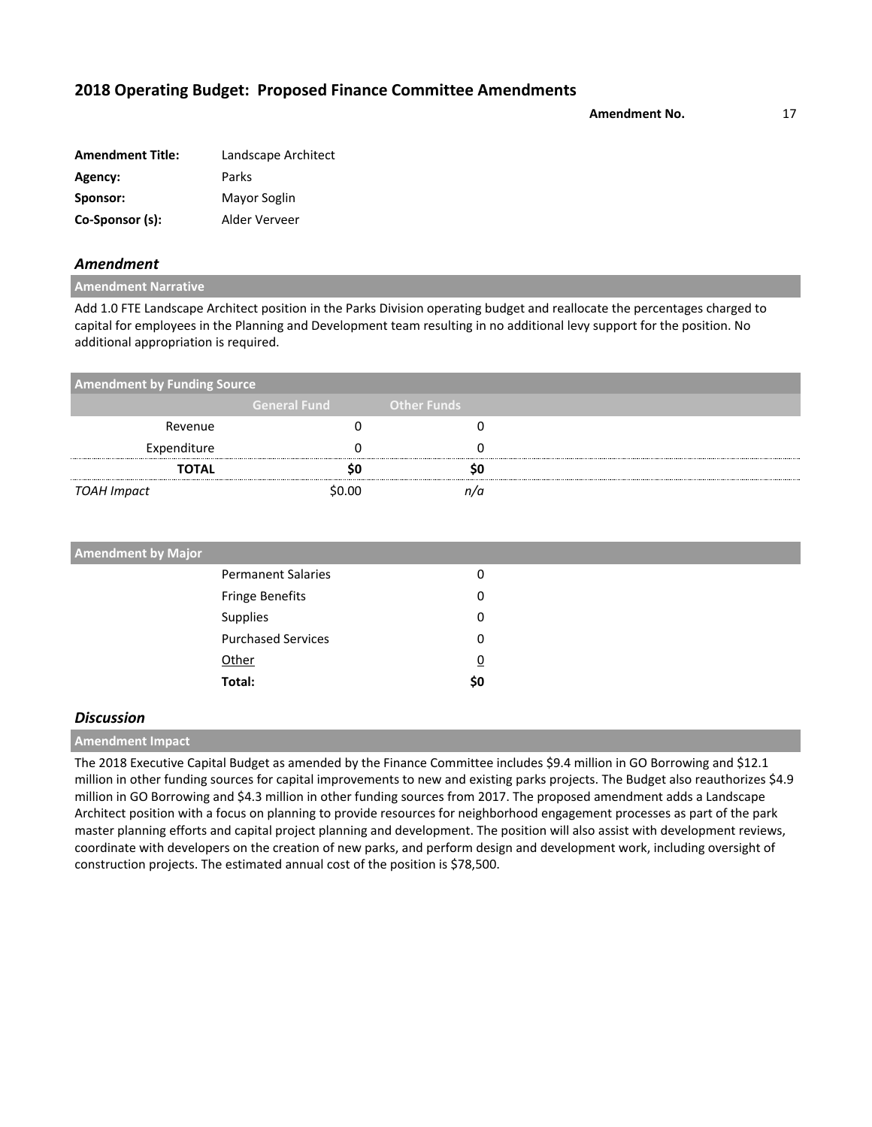**Amendment No.** 17

| <b>Amendment Title:</b> | Landscape Architect |
|-------------------------|---------------------|
| Agency:                 | Parks               |
| Sponsor:                | Mayor Soglin        |
| Co-Sponsor (s):         | Alder Verveer       |

### *Amendment*

**Amendment Narrative**

Add 1.0 FTE Landscape Architect position in the Parks Division operating budget and reallocate the percentages charged to capital for employees in the Planning and Development team resulting in no additional levy support for the position. No additional appropriation is required.

| <b>Amendment by Funding Source</b> |                     |                    |  |  |
|------------------------------------|---------------------|--------------------|--|--|
|                                    | <b>General Fund</b> | <b>Other Funds</b> |  |  |
| Revenue                            |                     |                    |  |  |
| Expenditure                        |                     |                    |  |  |
| <b>TOTAL</b>                       |                     |                    |  |  |
| TOAH Impact                        | \$0.00              | n/a                |  |  |

| <b>Amendment by Major</b> |                |  |
|---------------------------|----------------|--|
| <b>Permanent Salaries</b> | 0              |  |
| Fringe Benefits           | 0              |  |
| Supplies                  | 0              |  |
| <b>Purchased Services</b> | 0              |  |
| Other                     | $\overline{0}$ |  |
| Total:                    | \$0            |  |

### *Discussion*

**Amendment Impact**

The 2018 Executive Capital Budget as amended by the Finance Committee includes \$9.4 million in GO Borrowing and \$12.1 million in other funding sources for capital improvements to new and existing parks projects. The Budget also reauthorizes \$4.9 million in GO Borrowing and \$4.3 million in other funding sources from 2017. The proposed amendment adds a Landscape Architect position with a focus on planning to provide resources for neighborhood engagement processes as part of the park master planning efforts and capital project planning and development. The position will also assist with development reviews, coordinate with developers on the creation of new parks, and perform design and development work, including oversight of construction projects. The estimated annual cost of the position is \$78,500.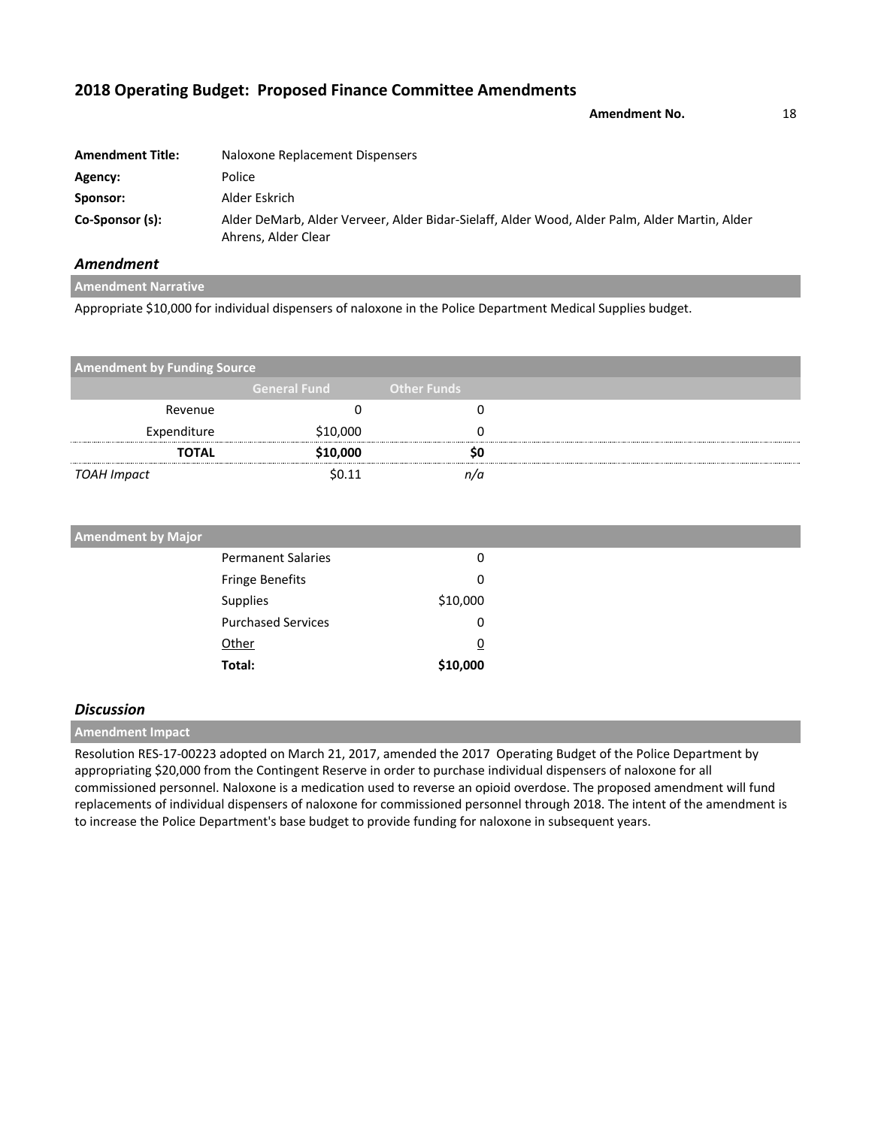**Amendment No.** 18

| <b>Amendment Title:</b> | Naloxone Replacement Dispensers                                                                                      |
|-------------------------|----------------------------------------------------------------------------------------------------------------------|
| Agency:                 | Police                                                                                                               |
| Sponsor:                | Alder Eskrich                                                                                                        |
| Co-Sponsor (s):         | Alder DeMarb, Alder Verveer, Alder Bidar-Sielaff, Alder Wood, Alder Palm, Alder Martin, Alder<br>Ahrens, Alder Clear |

## *Amendment*

**Amendment Narrative** Appropriate \$10,000 for individual dispensers of naloxone in the Police Department Medical Supplies budget.

| <b>Amendment by Funding Source</b> |                     |                    |  |
|------------------------------------|---------------------|--------------------|--|
|                                    | <b>General Fund</b> | <b>Other Funds</b> |  |
| Revenue                            |                     |                    |  |
| Expenditure                        | \$10,000            |                    |  |
| <b>TOTAL</b>                       | \$10,000            |                    |  |
| TOAH Impact                        | \$በ 11              |                    |  |

| <b>Amendment by Major</b> |          |
|---------------------------|----------|
| <b>Permanent Salaries</b> | 0        |
| <b>Fringe Benefits</b>    | 0        |
| Supplies                  | \$10,000 |
| <b>Purchased Services</b> | 0        |
| Other                     | <u>0</u> |
| Total:                    | \$10,000 |

### *Discussion*

**Amendment Impact**

Resolution RES-17-00223 adopted on March 21, 2017, amended the 2017 Operating Budget of the Police Department by appropriating \$20,000 from the Contingent Reserve in order to purchase individual dispensers of naloxone for all commissioned personnel. Naloxone is a medication used to reverse an opioid overdose. The proposed amendment will fund replacements of individual dispensers of naloxone for commissioned personnel through 2018. The intent of the amendment is to increase the Police Department's base budget to provide funding for naloxone in subsequent years.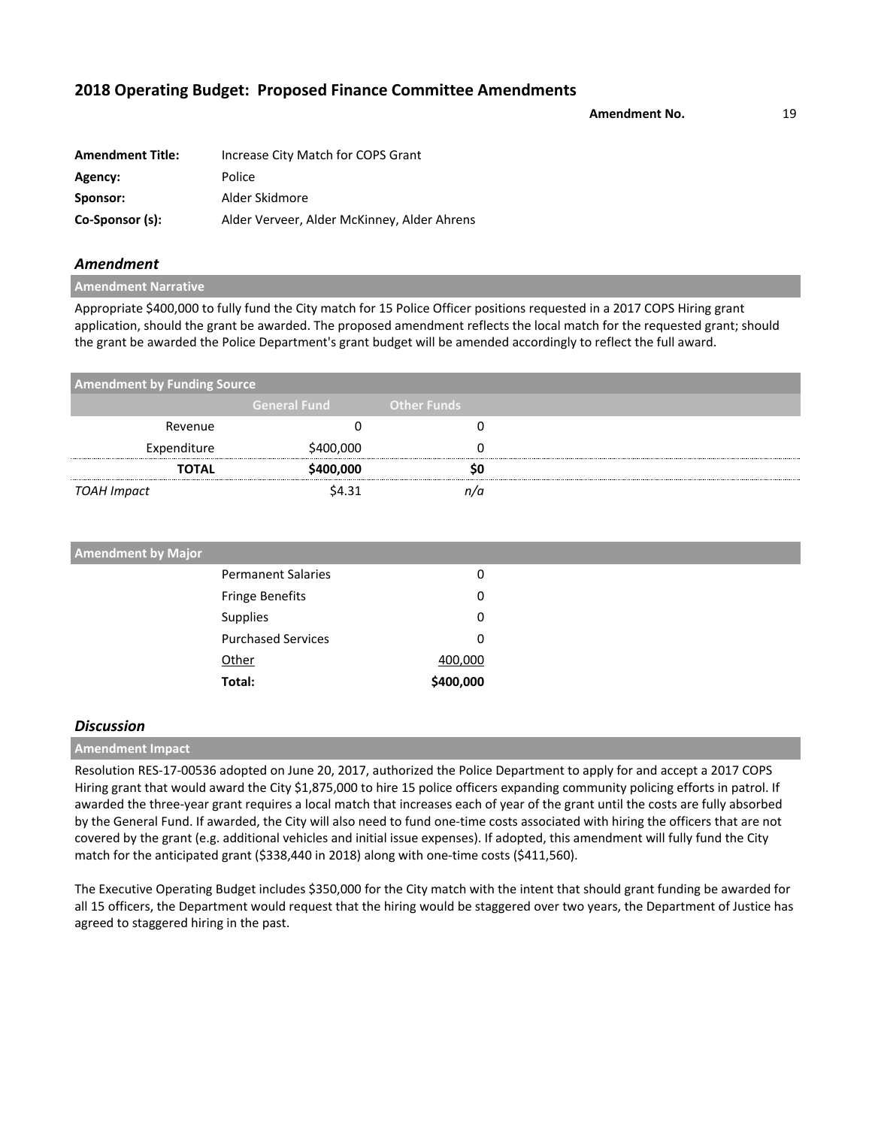**Amendment No.** 19

| <b>Amendment Title:</b> | Increase City Match for COPS Grant          |
|-------------------------|---------------------------------------------|
| Agency:                 | Police                                      |
| Sponsor:                | Alder Skidmore                              |
| Co-Sponsor (s):         | Alder Verveer, Alder McKinney, Alder Ahrens |

### *Amendment*

**Amendment Narrative**

Appropriate \$400,000 to fully fund the City match for 15 Police Officer positions requested in a 2017 COPS Hiring grant application, should the grant be awarded. The proposed amendment reflects the local match for the requested grant; should the grant be awarded the Police Department's grant budget will be amended accordingly to reflect the full award.

| <b>Amendment by Funding Source</b> |                     |                    |  |
|------------------------------------|---------------------|--------------------|--|
|                                    | <b>General Fund</b> | <b>Other Funds</b> |  |
| Revenue                            |                     |                    |  |
| Expenditure                        | \$400,000           |                    |  |
| <b>TOTAL</b>                       | \$400,000           |                    |  |
| TOAH Impact                        | \$4.31              | n/a                |  |

| <b>Amendment by Major</b> |                           |           |
|---------------------------|---------------------------|-----------|
|                           | <b>Permanent Salaries</b> | 0         |
|                           | <b>Fringe Benefits</b>    | 0         |
|                           | <b>Supplies</b>           | 0         |
|                           | <b>Purchased Services</b> | 0         |
|                           | Other                     | 400,000   |
|                           | Total:                    | \$400,000 |

### *Discussion*

**Amendment Impact**

Resolution RES-17-00536 adopted on June 20, 2017, authorized the Police Department to apply for and accept a 2017 COPS Hiring grant that would award the City \$1,875,000 to hire 15 police officers expanding community policing efforts in patrol. If awarded the three-year grant requires a local match that increases each of year of the grant until the costs are fully absorbed by the General Fund. If awarded, the City will also need to fund one-time costs associated with hiring the officers that are not covered by the grant (e.g. additional vehicles and initial issue expenses). If adopted, this amendment will fully fund the City match for the anticipated grant (\$338,440 in 2018) along with one-time costs (\$411,560).

The Executive Operating Budget includes \$350,000 for the City match with the intent that should grant funding be awarded for all 15 officers, the Department would request that the hiring would be staggered over two years, the Department of Justice has agreed to staggered hiring in the past.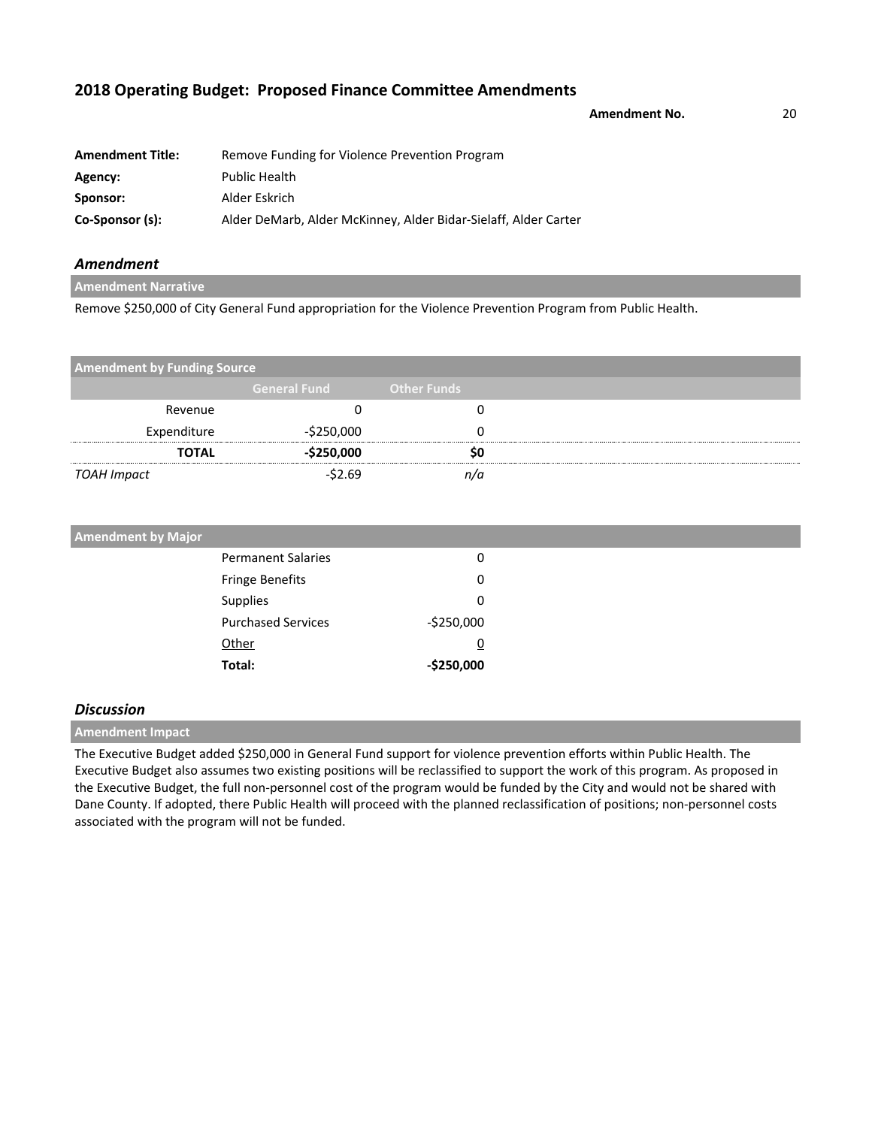**Amendment No.** 20

| <b>Amendment Title:</b> | Remove Funding for Violence Prevention Program                  |
|-------------------------|-----------------------------------------------------------------|
| Agency:                 | <b>Public Health</b>                                            |
| Sponsor:                | Alder Eskrich                                                   |
| Co-Sponsor (s):         | Alder DeMarb, Alder McKinney, Alder Bidar-Sielaff, Alder Carter |

## *Amendment*

**Amendment Narrative**

Remove \$250,000 of City General Fund appropriation for the Violence Prevention Program from Public Health.

| <b>Amendment by Funding Source</b> |                     |                    |
|------------------------------------|---------------------|--------------------|
|                                    | <b>General Fund</b> | <b>Other Funds</b> |
| Revenue                            |                     |                    |
| Expenditure                        | $-$ \$250,000       |                    |
| <b>TOTAL</b>                       | $-$ \$250,000       | S0                 |
| TOAH Impact                        | $-52.69$            | n/a                |

| <b>Amendment by Major</b> |                           |               |  |
|---------------------------|---------------------------|---------------|--|
|                           | <b>Permanent Salaries</b> | 0             |  |
| Fringe Benefits           |                           | 0             |  |
| Supplies                  |                           | 0             |  |
|                           | <b>Purchased Services</b> | $-$ \$250,000 |  |
| Other                     |                           | <u>0</u>      |  |
| Total:                    |                           | $-$250,000$   |  |

### *Discussion*

**Amendment Impact**

The Executive Budget added \$250,000 in General Fund support for violence prevention efforts within Public Health. The Executive Budget also assumes two existing positions will be reclassified to support the work of this program. As proposed in the Executive Budget, the full non-personnel cost of the program would be funded by the City and would not be shared with Dane County. If adopted, there Public Health will proceed with the planned reclassification of positions; non-personnel costs associated with the program will not be funded.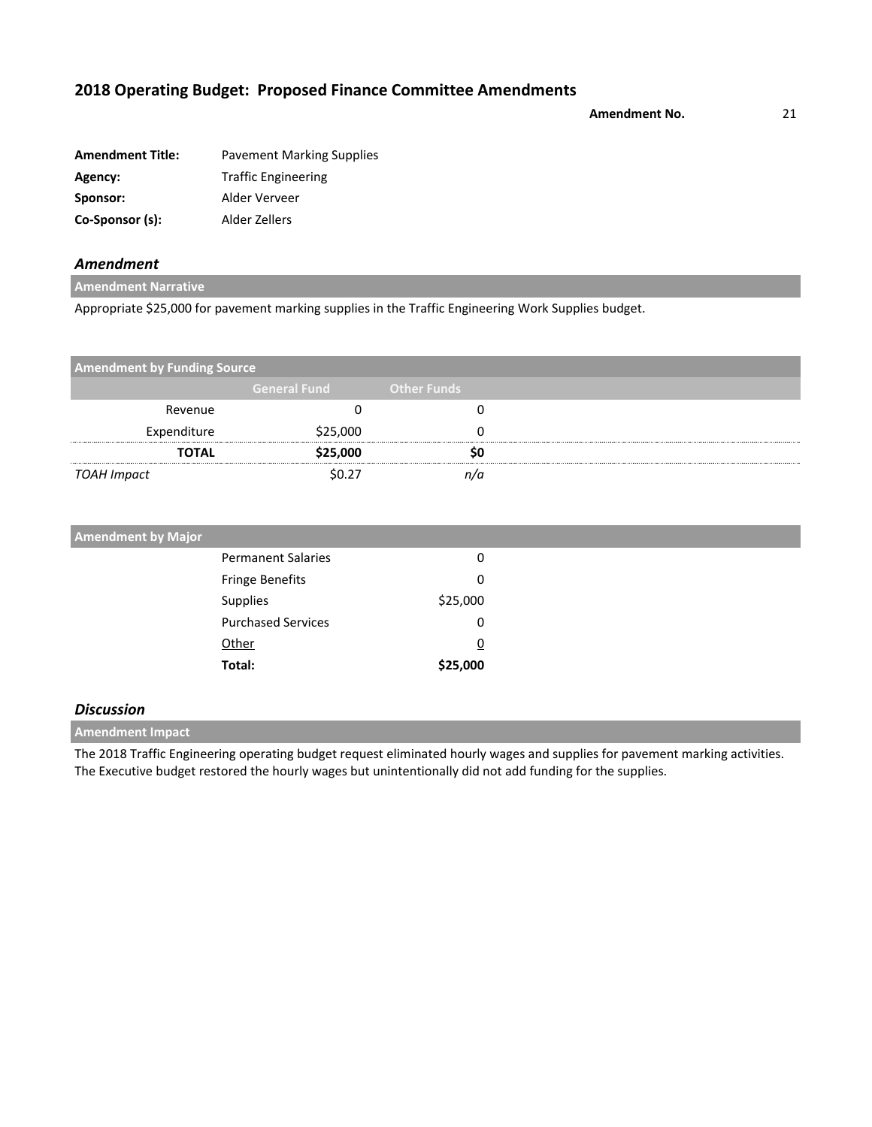**Amendment No.** 21

| <b>Amendment Title:</b> | <b>Pavement Marking Supplies</b> |
|-------------------------|----------------------------------|
| Agency:                 | <b>Traffic Engineering</b>       |
| Sponsor:                | Alder Verveer                    |
| Co-Sponsor (s):         | Alder Zellers                    |

## *Amendment*

**Amendment Narrative**

Appropriate \$25,000 for pavement marking supplies in the Traffic Engineering Work Supplies budget.

| <b>Amendment by Funding Source</b> |                     |                    |  |
|------------------------------------|---------------------|--------------------|--|
|                                    | <b>General Fund</b> | <b>Other Funds</b> |  |
| Revenue                            |                     |                    |  |
| Expenditure                        | \$25,000            |                    |  |
| <b>TOTAL</b>                       | \$25,000            | so                 |  |
| TOAH Impact                        | \$0.27              |                    |  |

| <b>Amendment by Major</b> |          |
|---------------------------|----------|
| <b>Permanent Salaries</b> | 0        |
| <b>Fringe Benefits</b>    | 0        |
| Supplies                  | \$25,000 |
| <b>Purchased Services</b> | 0        |
| Other                     | <u>0</u> |
| Total:                    | \$25,000 |

### *Discussion*

**Amendment Impact**

The 2018 Traffic Engineering operating budget request eliminated hourly wages and supplies for pavement marking activities. The Executive budget restored the hourly wages but unintentionally did not add funding for the supplies.